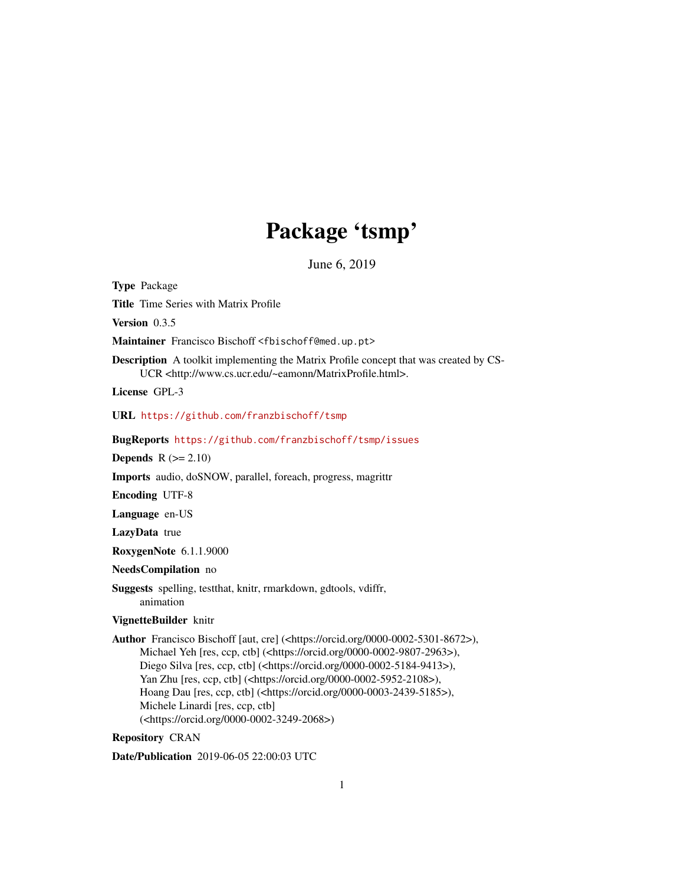# Package 'tsmp'

June 6, 2019

<span id="page-0-0"></span>Type Package

Title Time Series with Matrix Profile

Version 0.3.5

Maintainer Francisco Bischoff <fbischoff@med.up.pt>

Description A toolkit implementing the Matrix Profile concept that was created by CS-UCR <http://www.cs.ucr.edu/~eamonn/MatrixProfile.html>.

License GPL-3

URL <https://github.com/franzbischoff/tsmp>

BugReports <https://github.com/franzbischoff/tsmp/issues>

Depends  $R (= 2.10)$ 

Imports audio, doSNOW, parallel, foreach, progress, magrittr

Encoding UTF-8

Language en-US

LazyData true

RoxygenNote 6.1.1.9000

NeedsCompilation no

Suggests spelling, testthat, knitr, rmarkdown, gdtools, vdiffr, animation

# VignetteBuilder knitr

Author Francisco Bischoff [aut, cre] (<https://orcid.org/0000-0002-5301-8672>), Michael Yeh [res, ccp, ctb] (<https://orcid.org/0000-0002-9807-2963>), Diego Silva [res, ccp, ctb] (<https://orcid.org/0000-0002-5184-9413>), Yan Zhu [res, ccp, ctb] (<https://orcid.org/0000-0002-5952-2108>), Hoang Dau [res, ccp, ctb] (<https://orcid.org/0000-0003-2439-5185>), Michele Linardi [res, ccp, ctb] (<https://orcid.org/0000-0002-3249-2068>)

# Repository CRAN

Date/Publication 2019-06-05 22:00:03 UTC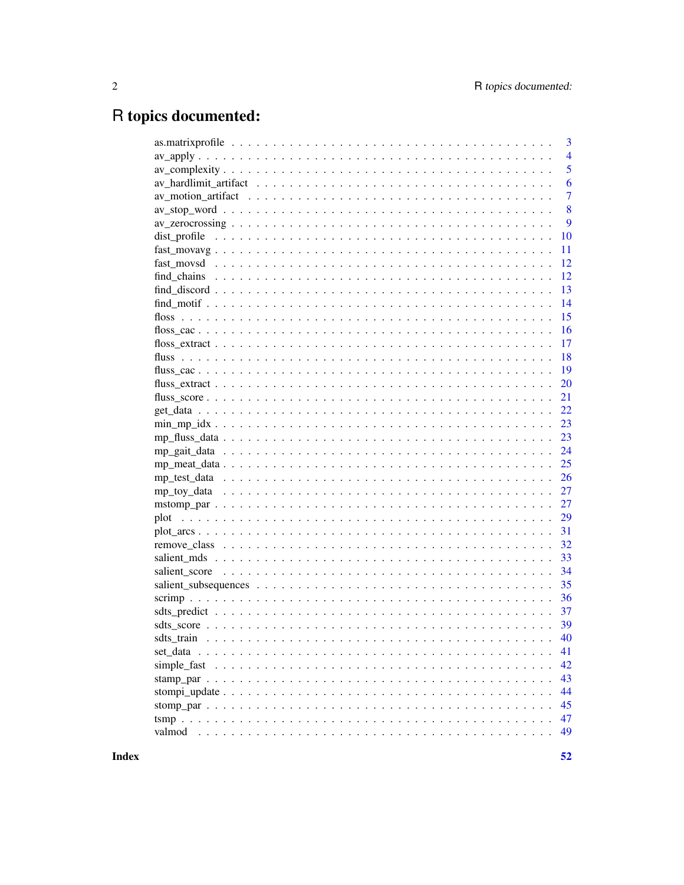# R topics documented:

|                                                                                                                        |  | $\overline{3}$  |
|------------------------------------------------------------------------------------------------------------------------|--|-----------------|
|                                                                                                                        |  | $\overline{4}$  |
|                                                                                                                        |  | 5               |
|                                                                                                                        |  | 6               |
|                                                                                                                        |  | $\overline{7}$  |
|                                                                                                                        |  | 8               |
| $av\_zerocrossing \ldots \ldots \ldots \ldots \ldots \ldots \ldots \ldots \ldots \ldots \ldots \ldots \ldots$          |  | 9               |
|                                                                                                                        |  | 10              |
|                                                                                                                        |  | 11              |
|                                                                                                                        |  | 12              |
|                                                                                                                        |  | 12              |
| $find\_discount \dots \dots \dots \dots \dots \dots \dots \dots \dots \dots \dots \dots \dots \dots \dots \dots \dots$ |  | 13              |
|                                                                                                                        |  | 14              |
|                                                                                                                        |  | 15              |
|                                                                                                                        |  | 16              |
|                                                                                                                        |  | 17              |
|                                                                                                                        |  | 18              |
|                                                                                                                        |  | 19              |
|                                                                                                                        |  | 20              |
|                                                                                                                        |  | 21              |
|                                                                                                                        |  | 22              |
|                                                                                                                        |  | 23              |
|                                                                                                                        |  | 23              |
|                                                                                                                        |  | 24              |
|                                                                                                                        |  | 25              |
|                                                                                                                        |  | 26              |
|                                                                                                                        |  |                 |
|                                                                                                                        |  | 27              |
|                                                                                                                        |  | 27              |
|                                                                                                                        |  | 29              |
|                                                                                                                        |  | 31              |
|                                                                                                                        |  | 32              |
|                                                                                                                        |  | 33              |
|                                                                                                                        |  | 34              |
|                                                                                                                        |  | 35              |
|                                                                                                                        |  | 36              |
|                                                                                                                        |  | 37              |
|                                                                                                                        |  | 39              |
|                                                                                                                        |  | $\therefore$ 40 |
|                                                                                                                        |  | 41              |
|                                                                                                                        |  | 42              |
|                                                                                                                        |  | 43              |
|                                                                                                                        |  | 44              |
|                                                                                                                        |  | 45              |
|                                                                                                                        |  | 47              |
| valmod                                                                                                                 |  | 49              |
|                                                                                                                        |  |                 |

**Index**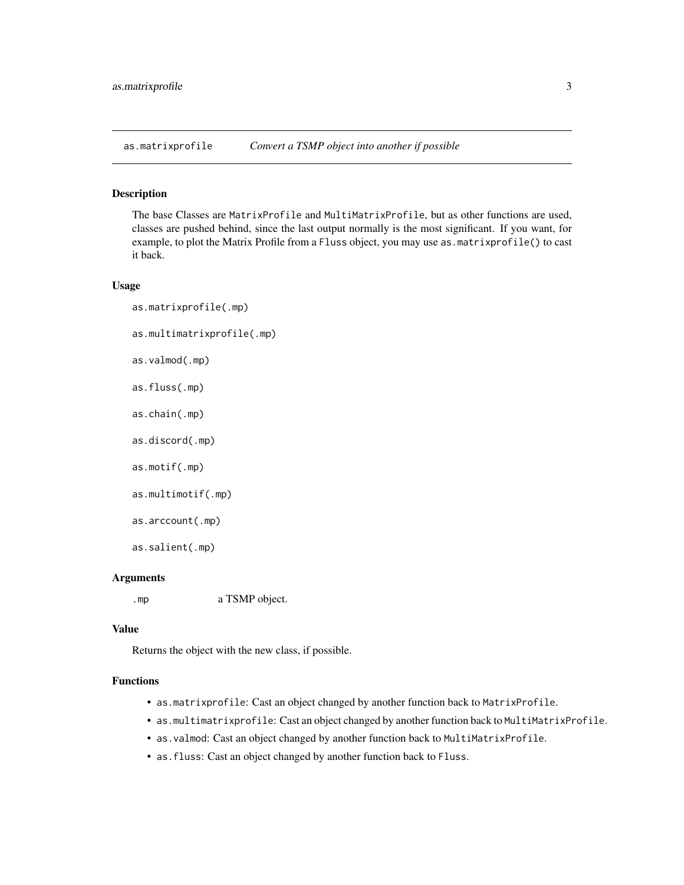<span id="page-2-0"></span>as.matrixprofile *Convert a TSMP object into another if possible*

#### Description

The base Classes are MatrixProfile and MultiMatrixProfile, but as other functions are used, classes are pushed behind, since the last output normally is the most significant. If you want, for example, to plot the Matrix Profile from a Fluss object, you may use as.matrixprofile() to cast it back.

#### Usage

as.matrixprofile(.mp) as.multimatrixprofile(.mp) as.valmod(.mp) as.fluss(.mp) as.chain(.mp) as.discord(.mp) as.motif(.mp) as.multimotif(.mp) as.arccount(.mp) as.salient(.mp)

# Arguments

.mp a TSMP object.

#### Value

Returns the object with the new class, if possible.

# Functions

- as.matrixprofile: Cast an object changed by another function back to MatrixProfile.
- as.multimatrixprofile: Cast an object changed by another function back to MultiMatrixProfile.
- as.valmod: Cast an object changed by another function back to MultiMatrixProfile.
- as.fluss: Cast an object changed by another function back to Fluss.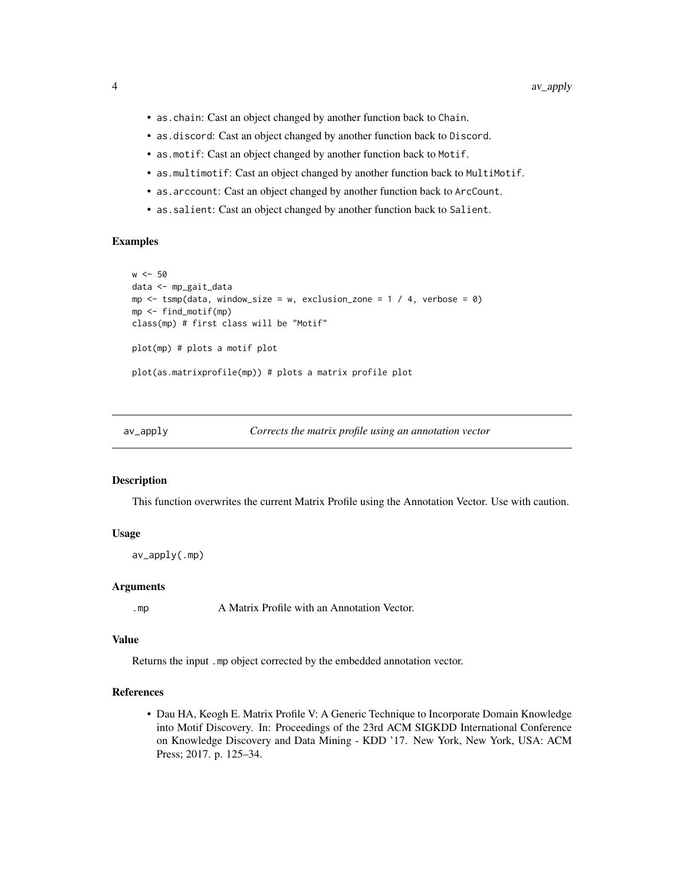- <span id="page-3-0"></span>• as.chain: Cast an object changed by another function back to Chain.
- as.discord: Cast an object changed by another function back to Discord.
- as.motif: Cast an object changed by another function back to Motif.
- as.multimotif: Cast an object changed by another function back to MultiMotif.
- as.arccount: Cast an object changed by another function back to ArcCount.
- as.salient: Cast an object changed by another function back to Salient.

#### Examples

```
w < -50data <- mp_gait_data
mp \le - tsmp(data, window_size = w, exclusion_zone = 1 / 4, verbose = 0)
mp <- find_motif(mp)
class(mp) # first class will be "Motif"
plot(mp) # plots a motif plot
plot(as.matrixprofile(mp)) # plots a matrix profile plot
```
<span id="page-3-1"></span>

|  | av_apply | Corrects the matrix profile using an annotation vector |
|--|----------|--------------------------------------------------------|
|--|----------|--------------------------------------------------------|

## Description

This function overwrites the current Matrix Profile using the Annotation Vector. Use with caution.

#### Usage

```
av<sub>_</sub>apply(.mp)
```
#### Arguments

.mp A Matrix Profile with an Annotation Vector.

# Value

Returns the input .mp object corrected by the embedded annotation vector.

#### References

• Dau HA, Keogh E. Matrix Profile V: A Generic Technique to Incorporate Domain Knowledge into Motif Discovery. In: Proceedings of the 23rd ACM SIGKDD International Conference on Knowledge Discovery and Data Mining - KDD '17. New York, New York, USA: ACM Press; 2017. p. 125–34.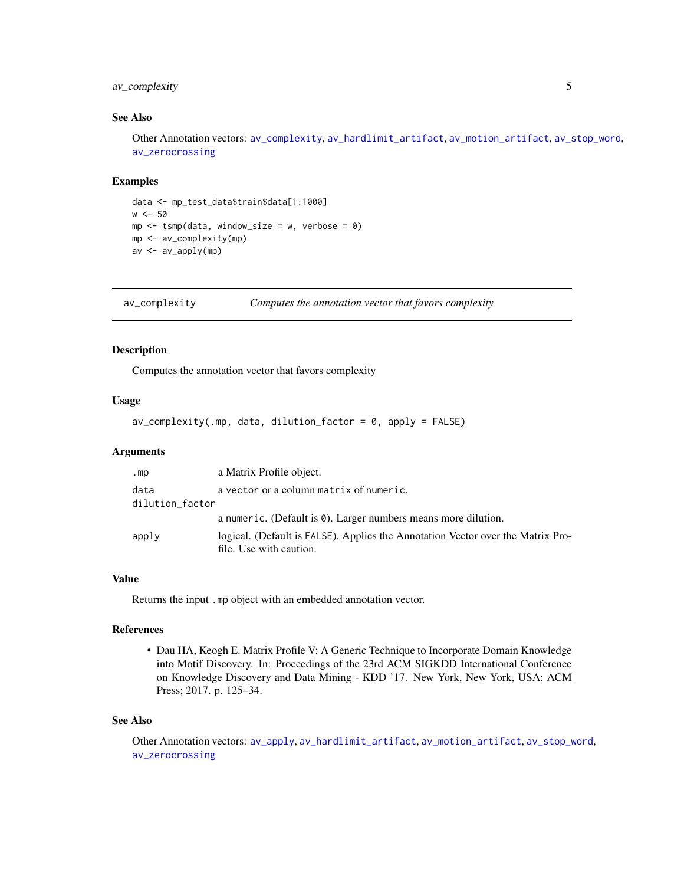# <span id="page-4-0"></span>av\_complexity 5

# See Also

Other Annotation vectors: [av\\_complexity](#page-4-1), [av\\_hardlimit\\_artifact](#page-5-1), [av\\_motion\\_artifact](#page-6-1), [av\\_stop\\_word](#page-7-1), [av\\_zerocrossing](#page-8-1)

#### Examples

```
data <- mp_test_data$train$data[1:1000]
w < -50mp \le - tsmp(data, window_size = w, verbose = 0)
mp <- av_complexity(mp)
av <- av_apply(mp)
```
<span id="page-4-1"></span>av\_complexity *Computes the annotation vector that favors complexity*

# Description

Computes the annotation vector that favors complexity

#### Usage

```
av\_complexity(.mp, data, dilution_factor = 0, apply = FALSE)
```
## Arguments

| .mp             | a Matrix Profile object.                                                                                   |
|-----------------|------------------------------------------------------------------------------------------------------------|
| data            | a vector or a column matrix of numeric.                                                                    |
| dilution_factor |                                                                                                            |
|                 | a numeric. (Default is $\theta$ ). Larger numbers means more dilution.                                     |
| apply           | logical. (Default is FALSE). Applies the Annotation Vector over the Matrix Pro-<br>file. Use with caution. |

# Value

Returns the input .mp object with an embedded annotation vector.

#### References

• Dau HA, Keogh E. Matrix Profile V: A Generic Technique to Incorporate Domain Knowledge into Motif Discovery. In: Proceedings of the 23rd ACM SIGKDD International Conference on Knowledge Discovery and Data Mining - KDD '17. New York, New York, USA: ACM Press; 2017. p. 125–34.

# See Also

Other Annotation vectors: [av\\_apply](#page-3-1), [av\\_hardlimit\\_artifact](#page-5-1), [av\\_motion\\_artifact](#page-6-1), [av\\_stop\\_word](#page-7-1), [av\\_zerocrossing](#page-8-1)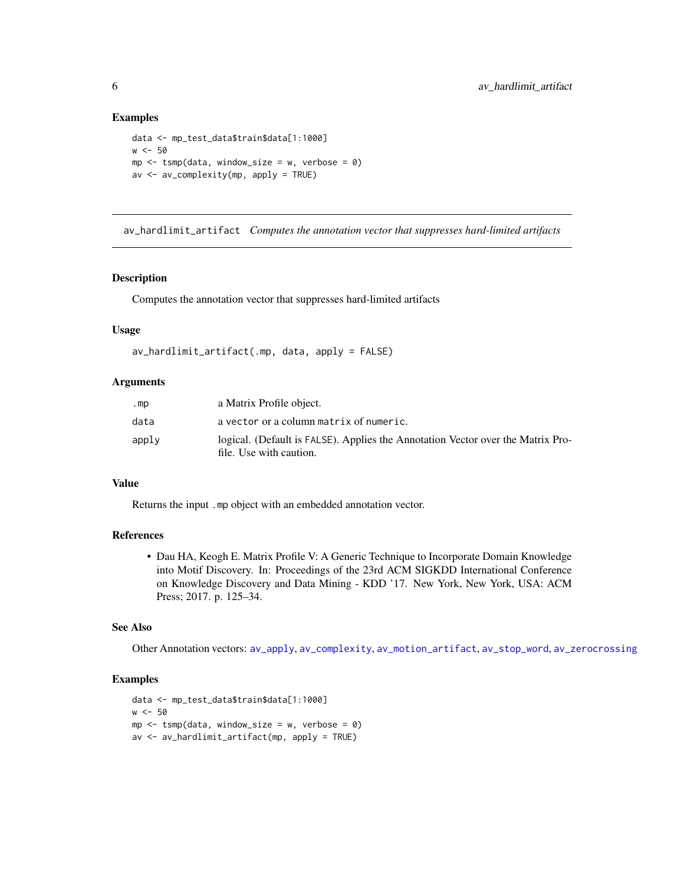#### Examples

```
data <- mp_test_data$train$data[1:1000]
w < -50mp \le - tsmp(data, window_size = w, verbose = 0)
av <- av_complexity(mp, apply = TRUE)
```
<span id="page-5-1"></span>av\_hardlimit\_artifact *Computes the annotation vector that suppresses hard-limited artifacts*

# Description

Computes the annotation vector that suppresses hard-limited artifacts

#### Usage

```
av_hardlimit_artifact(.mp, data, apply = FALSE)
```
### Arguments

| .mp   | a Matrix Profile object.                                                                                   |
|-------|------------------------------------------------------------------------------------------------------------|
| data  | a vector or a column matrix of numeric.                                                                    |
| apply | logical. (Default is FALSE). Applies the Annotation Vector over the Matrix Pro-<br>file. Use with caution. |

#### Value

Returns the input .mp object with an embedded annotation vector.

# References

• Dau HA, Keogh E. Matrix Profile V: A Generic Technique to Incorporate Domain Knowledge into Motif Discovery. In: Proceedings of the 23rd ACM SIGKDD International Conference on Knowledge Discovery and Data Mining - KDD '17. New York, New York, USA: ACM Press; 2017. p. 125–34.

#### See Also

Other Annotation vectors: [av\\_apply](#page-3-1), [av\\_complexity](#page-4-1), [av\\_motion\\_artifact](#page-6-1), [av\\_stop\\_word](#page-7-1), [av\\_zerocrossing](#page-8-1)

```
data <- mp_test_data$train$data[1:1000]
w < -50mp \le -\tamp; t smp(data, window\_size = w, verbose = 0)av <- av_hardlimit_artifact(mp, apply = TRUE)
```
<span id="page-5-0"></span>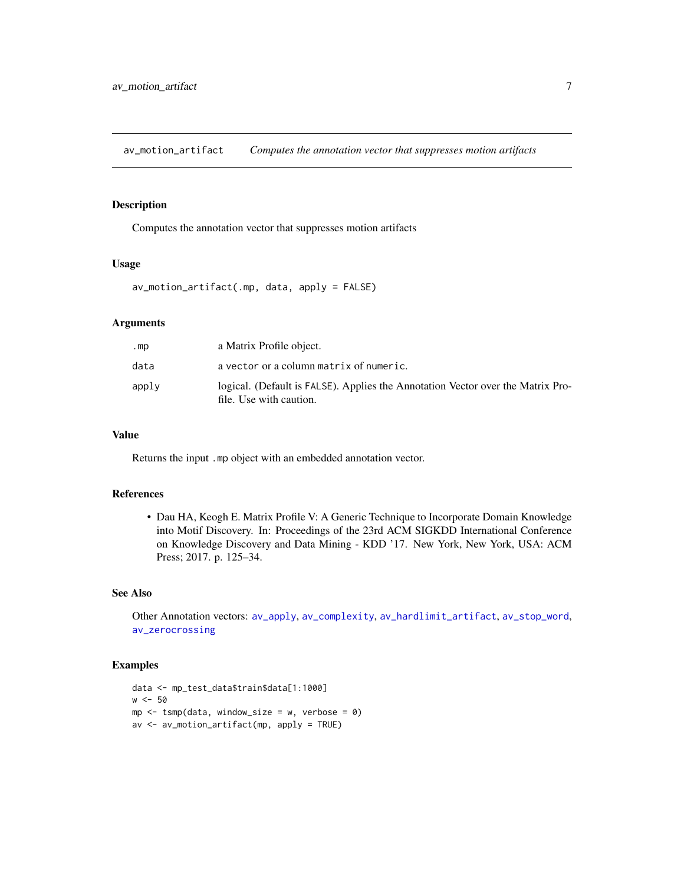<span id="page-6-1"></span><span id="page-6-0"></span>av\_motion\_artifact *Computes the annotation vector that suppresses motion artifacts*

# Description

Computes the annotation vector that suppresses motion artifacts

# Usage

av\_motion\_artifact(.mp, data, apply = FALSE)

#### Arguments

| .mp   | a Matrix Profile object.                                                                                   |
|-------|------------------------------------------------------------------------------------------------------------|
| data  | a vector or a column matrix of numeric.                                                                    |
| apply | logical. (Default is FALSE). Applies the Annotation Vector over the Matrix Pro-<br>file. Use with caution. |

# Value

Returns the input .mp object with an embedded annotation vector.

# References

• Dau HA, Keogh E. Matrix Profile V: A Generic Technique to Incorporate Domain Knowledge into Motif Discovery. In: Proceedings of the 23rd ACM SIGKDD International Conference on Knowledge Discovery and Data Mining - KDD '17. New York, New York, USA: ACM Press; 2017. p. 125–34.

#### See Also

Other Annotation vectors: [av\\_apply](#page-3-1), [av\\_complexity](#page-4-1), [av\\_hardlimit\\_artifact](#page-5-1), [av\\_stop\\_word](#page-7-1), [av\\_zerocrossing](#page-8-1)

```
data <- mp_test_data$train$data[1:1000]
w < -50mp \le -\tump(data, window\_size = w, verbose = 0)av <- av_motion_artifact(mp, apply = TRUE)
```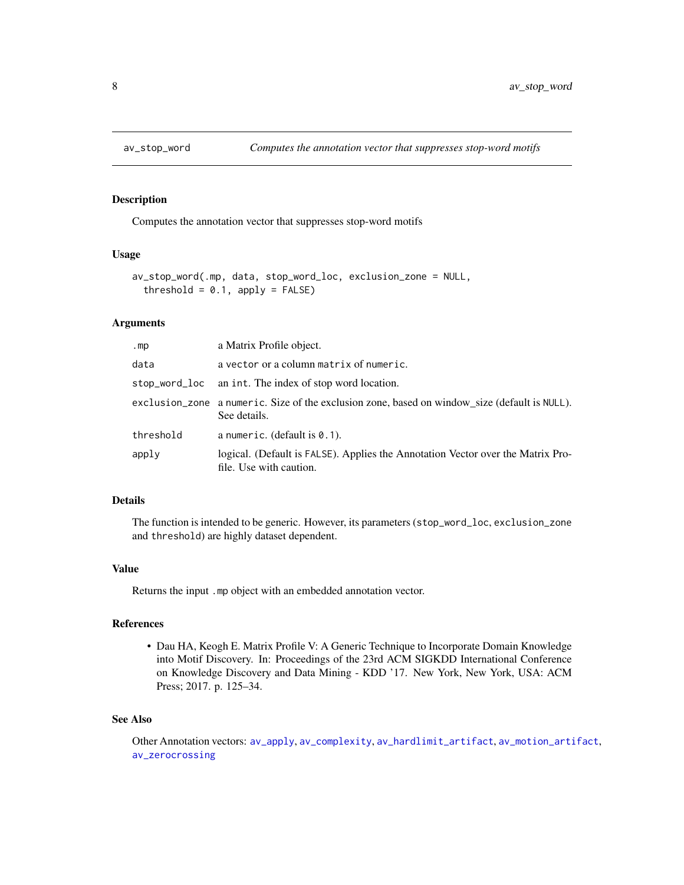<span id="page-7-1"></span><span id="page-7-0"></span>

Computes the annotation vector that suppresses stop-word motifs

# Usage

```
av_stop_word(.mp, data, stop_word_loc, exclusion_zone = NULL,
  threshold = 0.1, apply = FALSE)
```
# Arguments

| .mp       | a Matrix Profile object.                                                                                      |
|-----------|---------------------------------------------------------------------------------------------------------------|
| data      | a vector or a column matrix of numeric.                                                                       |
|           | stop_word_loc an int. The index of stop word location.                                                        |
|           | exclusion_zone a numeric. Size of the exclusion zone, based on window_size (default is NULL).<br>See details. |
| threshold | a numeric. (default is $0.1$ ).                                                                               |
| apply     | logical. (Default is FALSE). Applies the Annotation Vector over the Matrix Pro-<br>file. Use with caution.    |

# Details

The function is intended to be generic. However, its parameters (stop\_word\_loc, exclusion\_zone and threshold) are highly dataset dependent.

#### Value

Returns the input .mp object with an embedded annotation vector.

# References

• Dau HA, Keogh E. Matrix Profile V: A Generic Technique to Incorporate Domain Knowledge into Motif Discovery. In: Proceedings of the 23rd ACM SIGKDD International Conference on Knowledge Discovery and Data Mining - KDD '17. New York, New York, USA: ACM Press; 2017. p. 125–34.

# See Also

Other Annotation vectors: [av\\_apply](#page-3-1), [av\\_complexity](#page-4-1), [av\\_hardlimit\\_artifact](#page-5-1), [av\\_motion\\_artifact](#page-6-1), [av\\_zerocrossing](#page-8-1)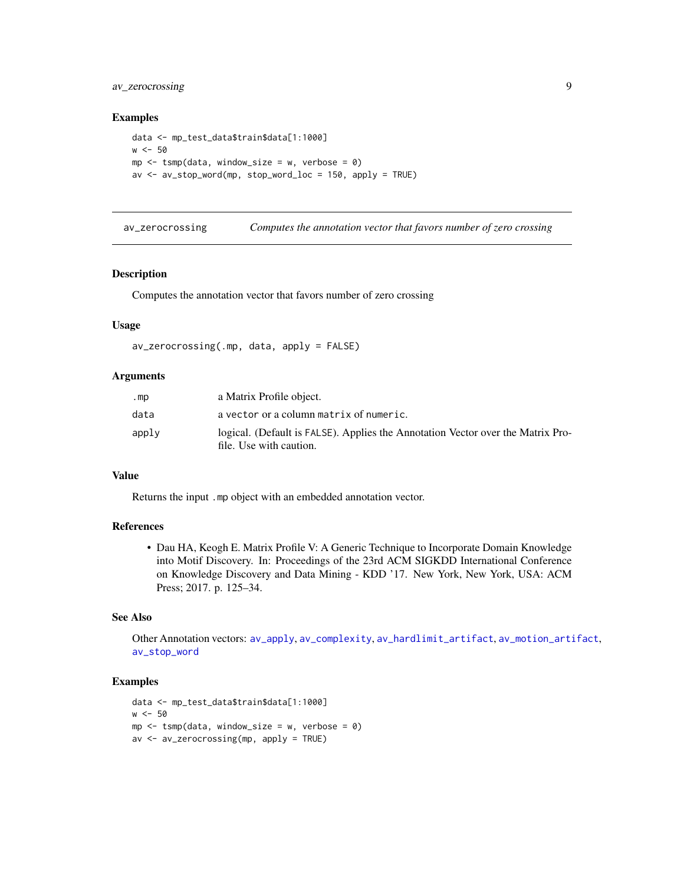# <span id="page-8-0"></span>av\_zerocrossing 9

#### Examples

```
data <- mp_test_data$train$data[1:1000]
w < -50mp \le - tsmp(data, window_size = w, verbose = 0)
av <- av_stop_word(mp, stop_word_loc = 150, apply = TRUE)
```
<span id="page-8-1"></span>av\_zerocrossing *Computes the annotation vector that favors number of zero crossing*

#### Description

Computes the annotation vector that favors number of zero crossing

#### Usage

```
av_zerocrossing(.mp, data, apply = FALSE)
```
#### Arguments

| mp    | a Matrix Profile object.                                                                                   |
|-------|------------------------------------------------------------------------------------------------------------|
| data  | a vector or a column matrix of numeric.                                                                    |
| apply | logical. (Default is FALSE). Applies the Annotation Vector over the Matrix Pro-<br>file. Use with caution. |

# Value

Returns the input .mp object with an embedded annotation vector.

# References

• Dau HA, Keogh E. Matrix Profile V: A Generic Technique to Incorporate Domain Knowledge into Motif Discovery. In: Proceedings of the 23rd ACM SIGKDD International Conference on Knowledge Discovery and Data Mining - KDD '17. New York, New York, USA: ACM Press; 2017. p. 125–34.

# See Also

Other Annotation vectors: [av\\_apply](#page-3-1), [av\\_complexity](#page-4-1), [av\\_hardlimit\\_artifact](#page-5-1), [av\\_motion\\_artifact](#page-6-1), [av\\_stop\\_word](#page-7-1)

```
data <- mp_test_data$train$data[1:1000]
w < -50mp \le - tsmp(data, window_size = w, verbose = 0)
av <- av_zerocrossing(mp, apply = TRUE)
```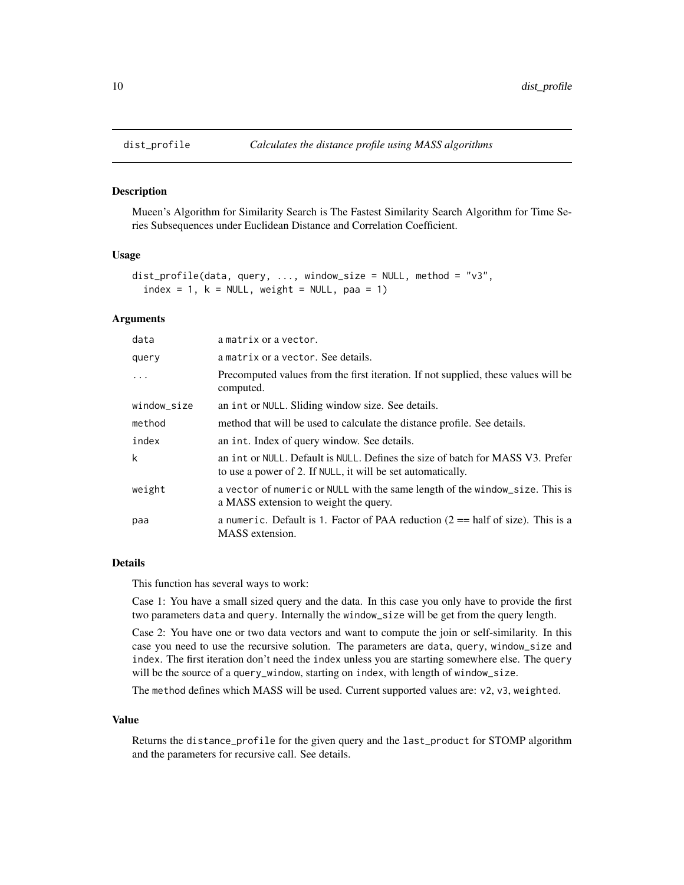<span id="page-9-0"></span>

Mueen's Algorithm for Similarity Search is The Fastest Similarity Search Algorithm for Time Series Subsequences under Euclidean Distance and Correlation Coefficient.

#### Usage

```
dist_profile(data, query, ..., window_size = NULL, method = "v3",
  index = 1, k = NULL, weight = NULL, paa = 1)
```
# Arguments

| data        | a matrix or a vector.                                                                                                                         |
|-------------|-----------------------------------------------------------------------------------------------------------------------------------------------|
| query       | a matrix or a vector. See details.                                                                                                            |
| $\ddotsc$   | Precomputed values from the first iteration. If not supplied, these values will be<br>computed.                                               |
| window_size | an int or NULL. Sliding window size. See details.                                                                                             |
| method      | method that will be used to calculate the distance profile. See details.                                                                      |
| index       | an int. Index of query window. See details.                                                                                                   |
| k           | an int or NULL. Default is NULL. Defines the size of batch for MASS V3. Prefer<br>to use a power of 2. If NULL, it will be set automatically. |
| weight      | a vector of numeric or NULL with the same length of the window_size. This is<br>a MASS extension to weight the query.                         |
| paa         | a numeric. Default is 1. Factor of PAA reduction $(2 == \text{half of size})$ . This is a<br>MASS extension.                                  |

#### Details

This function has several ways to work:

Case 1: You have a small sized query and the data. In this case you only have to provide the first two parameters data and query. Internally the window\_size will be get from the query length.

Case 2: You have one or two data vectors and want to compute the join or self-similarity. In this case you need to use the recursive solution. The parameters are data, query, window\_size and index. The first iteration don't need the index unless you are starting somewhere else. The query will be the source of a query\_window, starting on index, with length of window\_size.

The method defines which MASS will be used. Current supported values are: v2, v3, weighted.

#### Value

Returns the distance\_profile for the given query and the last\_product for STOMP algorithm and the parameters for recursive call. See details.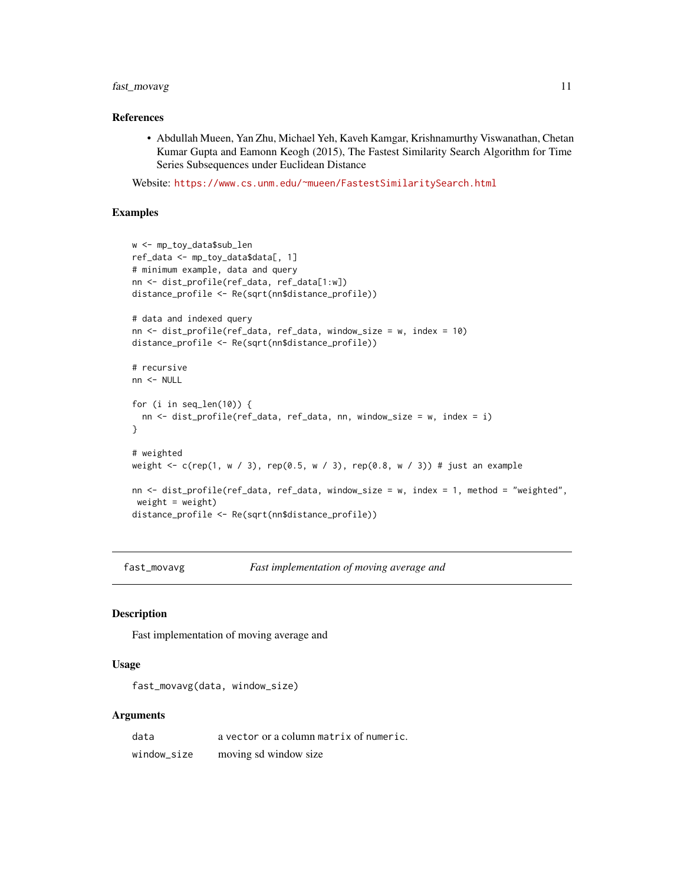# <span id="page-10-0"></span>fast\_movavg 11

# References

• Abdullah Mueen, Yan Zhu, Michael Yeh, Kaveh Kamgar, Krishnamurthy Viswanathan, Chetan Kumar Gupta and Eamonn Keogh (2015), The Fastest Similarity Search Algorithm for Time Series Subsequences under Euclidean Distance

Website: <https://www.cs.unm.edu/~mueen/FastestSimilaritySearch.html>

#### Examples

```
w <- mp_toy_data$sub_len
ref_data <- mp_toy_data$data[, 1]
# minimum example, data and query
nn <- dist_profile(ref_data, ref_data[1:w])
distance_profile <- Re(sqrt(nn$distance_profile))
# data and indexed query
nn <- dist_profile(ref_data, ref_data, window_size = w, index = 10)
distance_profile <- Re(sqrt(nn$distance_profile))
# recursive
nn <- NULL
for (i in seq_len(10)) {
  nn <- dist_profile(ref_data, ref_data, nn, window_size = w, index = i)
}
# weighted
weight <- c(rep(1, w / 3), rep(0.5, w / 3), rep(0.8, w / 3)) # just an example
nn <- dist_profile(ref_data, ref_data, window_size = w, index = 1, method = "weighted",
weight = weight)
distance_profile <- Re(sqrt(nn$distance_profile))
```
fast\_movavg *Fast implementation of moving average and*

# **Description**

Fast implementation of moving average and

# Usage

```
fast_movavg(data, window_size)
```

| data        | a vector or a column matrix of numeric. |
|-------------|-----------------------------------------|
| window size | moving sd window size                   |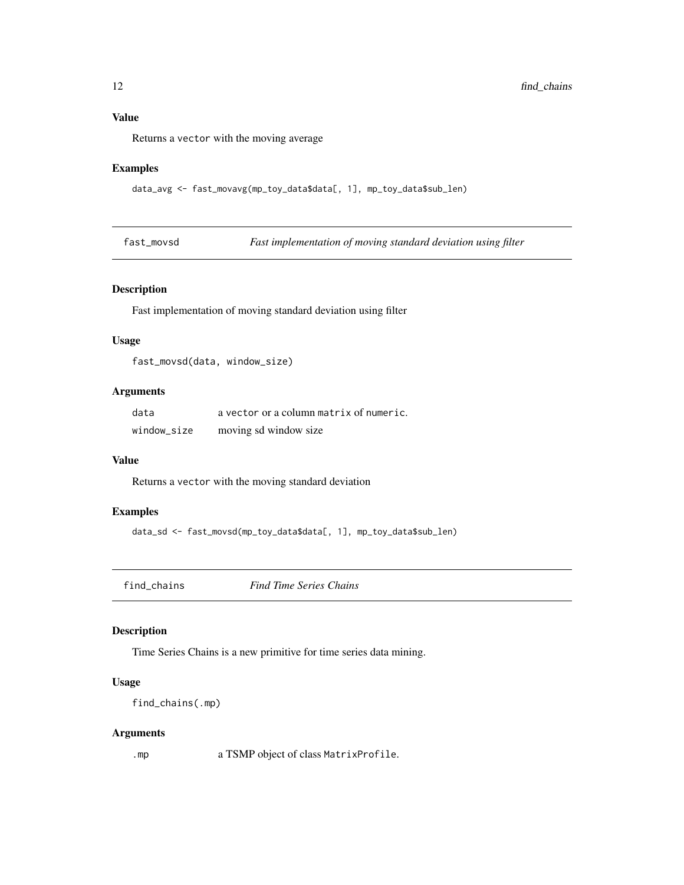# <span id="page-11-0"></span>Value

Returns a vector with the moving average

# Examples

data\_avg <- fast\_movavg(mp\_toy\_data\$data[, 1], mp\_toy\_data\$sub\_len)

fast\_movsd *Fast implementation of moving standard deviation using filter*

# Description

Fast implementation of moving standard deviation using filter

# Usage

fast\_movsd(data, window\_size)

# Arguments

| data        | a vector or a column matrix of numeric. |
|-------------|-----------------------------------------|
| window size | moving sd window size                   |

#### Value

Returns a vector with the moving standard deviation

# Examples

```
data_sd <- fast_movsd(mp_toy_data$data[, 1], mp_toy_data$sub_len)
```
find\_chains *Find Time Series Chains*

#### Description

Time Series Chains is a new primitive for time series data mining.

# Usage

```
find_chains(.mp)
```
# Arguments

.mp a TSMP object of class MatrixProfile.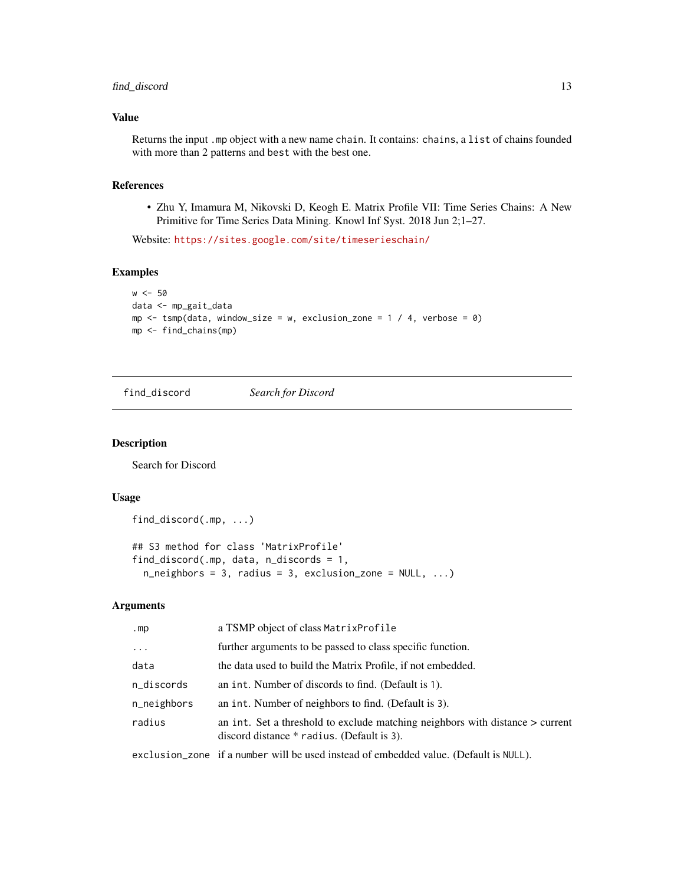# <span id="page-12-0"></span>find\_discord 13

# Value

Returns the input .mp object with a new name chain. It contains: chains, a list of chains founded with more than 2 patterns and best with the best one.

# References

• Zhu Y, Imamura M, Nikovski D, Keogh E. Matrix Profile VII: Time Series Chains: A New Primitive for Time Series Data Mining. Knowl Inf Syst. 2018 Jun 2;1–27.

Website: <https://sites.google.com/site/timeserieschain/>

# Examples

```
w < -50data <- mp_gait_data
mp \le - tsmp(data, window_size = w, exclusion_zone = 1 / 4, verbose = 0)
mp <- find_chains(mp)
```
find\_discord *Search for Discord*

# Description

Search for Discord

# Usage

```
find_discord(.mp, ...)
## S3 method for class 'MatrixProfile'
find_discord(.mp, data, n_discords = 1,
  n_{\text{neighbours}} = 3, radius = 3, exclusion_zone = NULL, ...)
```

| .mp         | a TSMP object of class Matrix Profile                                                                                         |
|-------------|-------------------------------------------------------------------------------------------------------------------------------|
| $\ddots$    | further arguments to be passed to class specific function.                                                                    |
| data        | the data used to build the Matrix Profile, if not embedded.                                                                   |
| n_discords  | an int. Number of discords to find. (Default is 1).                                                                           |
| n_neighbors | an int. Number of neighbors to find. (Default is 3).                                                                          |
| radius      | an int. Set a threshold to exclude matching neighbors with distance $>$ current<br>discord distance * radius. (Default is 3). |
|             | exclusion_zone if a number will be used instead of embedded value. (Default is NULL).                                         |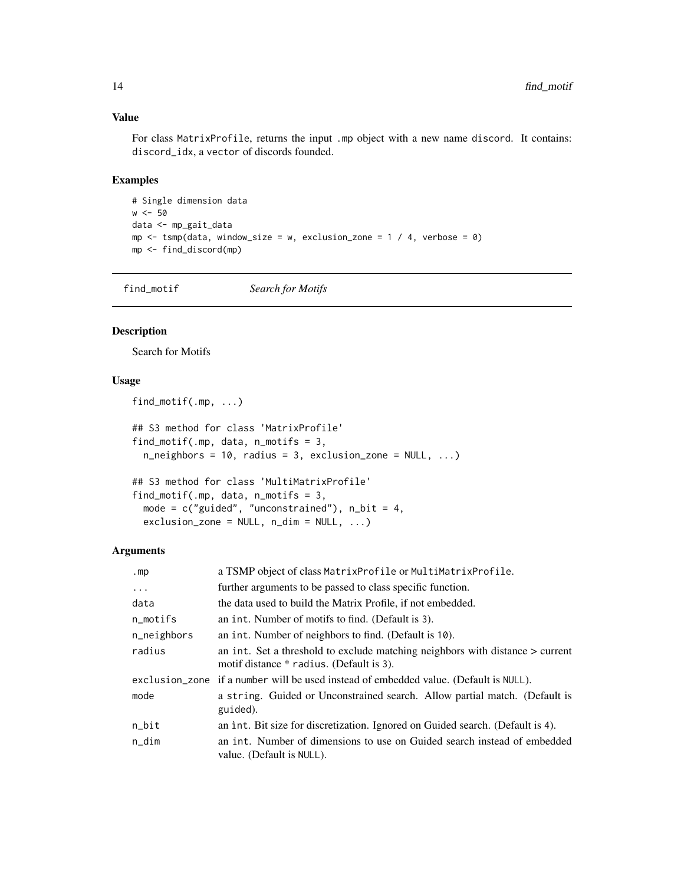# Value

For class MatrixProfile, returns the input .mp object with a new name discord. It contains: discord\_idx, a vector of discords founded.

# Examples

```
# Single dimension data
w < -50data <- mp_gait_data
mp \le -tsmp(data, window_size = w, exclusion_zone = 1 / 4, verbose = 0)
mp <- find_discord(mp)
```
find\_motif *Search for Motifs*

# Description

Search for Motifs

# Usage

```
find_motif(.mp, ...)
## S3 method for class 'MatrixProfile'
find_motif(.mp, data, n_motifs = 3,
  n_neighbors = 10, radius = 3, exclusion_zone = NULL, ...)
## S3 method for class 'MultiMatrixProfile'
```

```
find_motif(.mp, data, n_motifs = 3,
 mode = c("guided", "unconstrained"), n-bit = 4,exclusion\_zone = NULL, n\_dim = NULL, ...)
```

| .mp                | a TSMP object of class MatrixProfile or MultiMatrixProfile.                                                               |
|--------------------|---------------------------------------------------------------------------------------------------------------------------|
| $\cdots$           | further arguments to be passed to class specific function.                                                                |
| data               | the data used to build the Matrix Profile, if not embedded.                                                               |
| n_motifs           | an int. Number of motifs to find. (Default is 3).                                                                         |
| n_neighbors        | an int. Number of neighbors to find. (Default is 10).                                                                     |
| radius             | an int. Set a threshold to exclude matching neighbors with distance > current<br>motif distance * radius. (Default is 3). |
|                    | exclusion_zone if a number will be used instead of embedded value. (Default is NULL).                                     |
| mode               | a string. Guided or Unconstrained search. Allow partial match. (Default is<br>guided).                                    |
| $n$ <sub>bit</sub> | an int. Bit size for discretization. Ignored on Guided search. (Default is 4).                                            |
| $n\_dim$           | an int. Number of dimensions to use on Guided search instead of embedded<br>value. (Default is NULL).                     |

<span id="page-13-0"></span>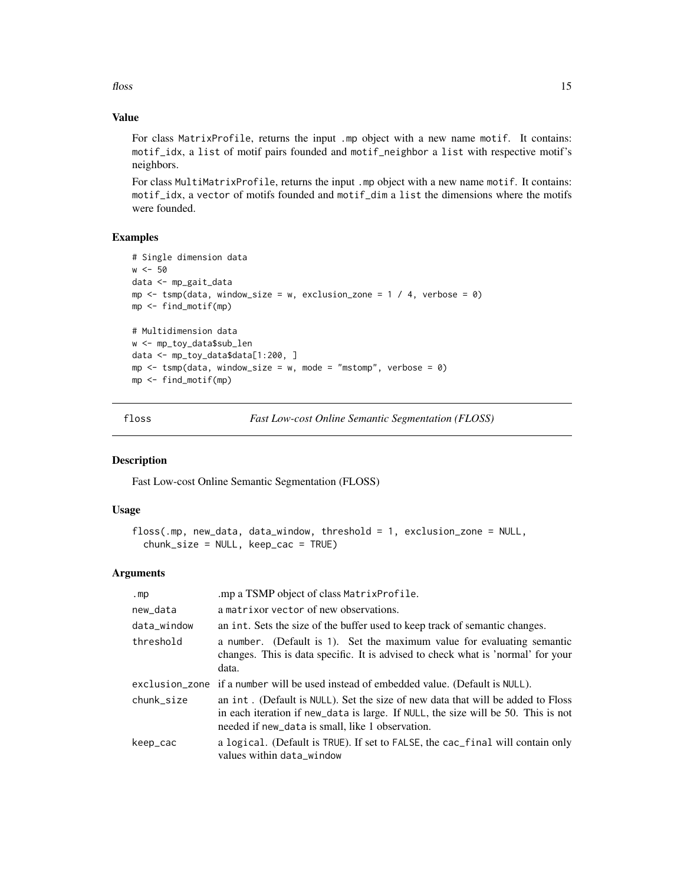<span id="page-14-0"></span> $f$ loss and the set of the set of the set of the set of the set of the set of the set of the set of the set of the set of the set of the set of the set of the set of the set of the set of the set of the set of the set of

# Value

For class MatrixProfile, returns the input .mp object with a new name motif. It contains: motif\_idx, a list of motif pairs founded and motif\_neighbor a list with respective motif's neighbors.

For class MultiMatrixProfile, returns the input .mp object with a new name motif. It contains: motif\_idx, a vector of motifs founded and motif\_dim a list the dimensions where the motifs were founded.

# Examples

```
# Single dimension data
w < -50data <- mp_gait_data
mp \le - tsmp(data, window_size = w, exclusion_zone = 1 / 4, verbose = 0)
mp <- find_motif(mp)
# Multidimension data
w <- mp_toy_data$sub_len
data <- mp_toy_data$data[1:200, ]
mp \le - tsmp(data, window_size = w, mode = "mstomp", verbose = 0)
mp <- find_motif(mp)
```
<span id="page-14-1"></span>

floss *Fast Low-cost Online Semantic Segmentation (FLOSS)*

# Description

Fast Low-cost Online Semantic Segmentation (FLOSS)

#### Usage

```
floss(.mp, new_data, data_window, threshold = 1, exclusion_zone = NULL,
 chunk_size = NULL, keep\_cac = TRUE)
```

| .mp         | .mp a TSMP object of class MatrixProfile.                                                                                                                                                                                |
|-------------|--------------------------------------------------------------------------------------------------------------------------------------------------------------------------------------------------------------------------|
| new_data    | a matrix or vector of new observations.                                                                                                                                                                                  |
| data_window | an int. Sets the size of the buffer used to keep track of semantic changes.                                                                                                                                              |
| threshold   | a number. (Default is 1). Set the maximum value for evaluating semantic<br>changes. This is data specific. It is advised to check what is 'normal' for your<br>data.                                                     |
|             | exclusion_zone if a number will be used instead of embedded value. (Default is NULL).                                                                                                                                    |
| chunk size  | an int. (Default is NULL). Set the size of new data that will be added to Floss<br>in each iteration if new_data is large. If NULL, the size will be 50. This is not<br>needed if new_data is small, like 1 observation. |
| keep_cac    | a logical. (Default is TRUE). If set to FALSE, the cac_final will contain only<br>values within data_window                                                                                                              |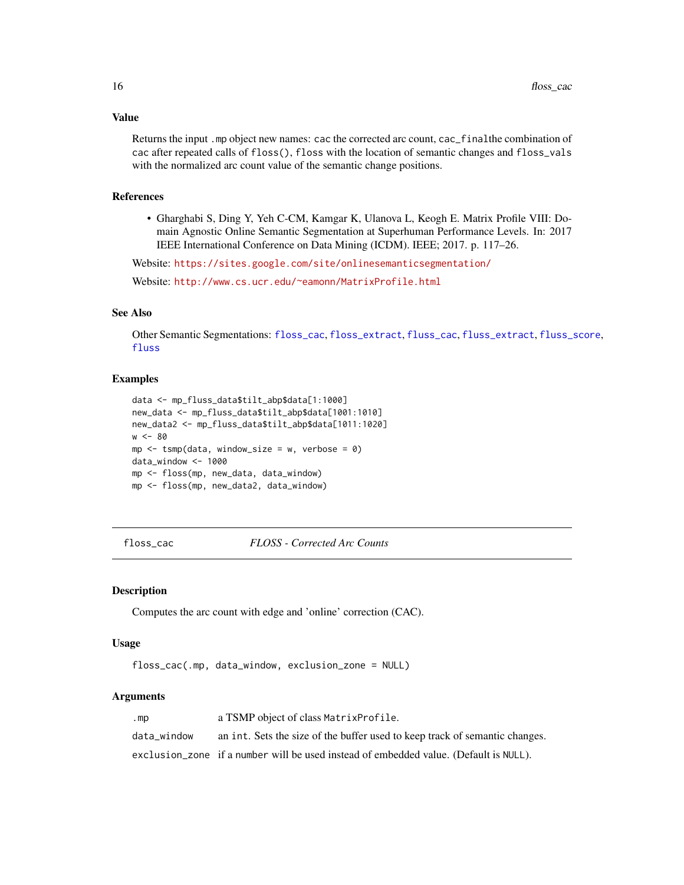# Value

Returns the input .mp object new names: cac the corrected arc count, cac\_finalthe combination of cac after repeated calls of floss(), floss with the location of semantic changes and floss\_vals with the normalized arc count value of the semantic change positions.

# References

• Gharghabi S, Ding Y, Yeh C-CM, Kamgar K, Ulanova L, Keogh E. Matrix Profile VIII: Domain Agnostic Online Semantic Segmentation at Superhuman Performance Levels. In: 2017 IEEE International Conference on Data Mining (ICDM). IEEE; 2017. p. 117–26.

Website: <https://sites.google.com/site/onlinesemanticsegmentation/>

Website: <http://www.cs.ucr.edu/~eamonn/MatrixProfile.html>

# See Also

Other Semantic Segmentations: [floss\\_cac](#page-15-1), [floss\\_extract](#page-16-1), [fluss\\_cac](#page-18-1), [fluss\\_extract](#page-19-1), [fluss\\_score](#page-20-1), [fluss](#page-17-1)

#### Examples

```
data <- mp_fluss_data$tilt_abp$data[1:1000]
new_data <- mp_fluss_data$tilt_abp$data[1001:1010]
new_data2 <- mp_fluss_data$tilt_abp$data[1011:1020]
w < - 80mp \le - tsmp(data, window_size = w, verbose = 0)
data_window <- 1000
mp <- floss(mp, new_data, data_window)
mp <- floss(mp, new_data2, data_window)
```
<span id="page-15-1"></span>floss\_cac *FLOSS - Corrected Arc Counts*

## Description

Computes the arc count with edge and 'online' correction (CAC).

#### Usage

```
floss_cac(.mp, data_window, exclusion_zone = NULL)
```

| .mp         | a TSMP object of class MatrixProfile.                                                 |
|-------------|---------------------------------------------------------------------------------------|
| data window | an int. Sets the size of the buffer used to keep track of semantic changes.           |
|             | exclusion_zone if a number will be used instead of embedded value. (Default is NULL). |

<span id="page-15-0"></span>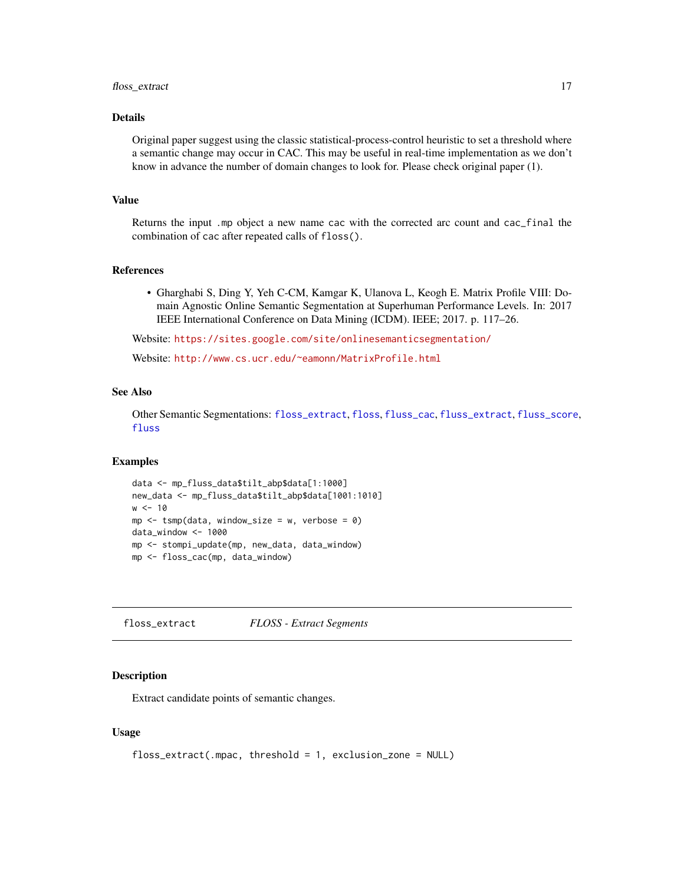# <span id="page-16-0"></span>floss\_extract 17

# Details

Original paper suggest using the classic statistical-process-control heuristic to set a threshold where a semantic change may occur in CAC. This may be useful in real-time implementation as we don't know in advance the number of domain changes to look for. Please check original paper (1).

#### Value

Returns the input .mp object a new name cac with the corrected arc count and cac\_final the combination of cac after repeated calls of floss().

#### References

• Gharghabi S, Ding Y, Yeh C-CM, Kamgar K, Ulanova L, Keogh E. Matrix Profile VIII: Domain Agnostic Online Semantic Segmentation at Superhuman Performance Levels. In: 2017 IEEE International Conference on Data Mining (ICDM). IEEE; 2017. p. 117–26.

Website: <https://sites.google.com/site/onlinesemanticsegmentation/>

Website: <http://www.cs.ucr.edu/~eamonn/MatrixProfile.html>

# See Also

Other Semantic Segmentations: [floss\\_extract](#page-16-1), [floss](#page-14-1), [fluss\\_cac](#page-18-1), [fluss\\_extract](#page-19-1), [fluss\\_score](#page-20-1), [fluss](#page-17-1)

#### Examples

```
data <- mp_fluss_data$tilt_abp$data[1:1000]
new_data <- mp_fluss_data$tilt_abp$data[1001:1010]
w < -10mp \le - tsmp(data, window_size = w, verbose = 0)
data_window <- 1000
mp <- stompi_update(mp, new_data, data_window)
mp <- floss_cac(mp, data_window)
```
<span id="page-16-1"></span>floss\_extract *FLOSS - Extract Segments*

#### Description

Extract candidate points of semantic changes.

#### Usage

```
floss_extract(.mpac, threshold = 1, exclusion_zone = NULL)
```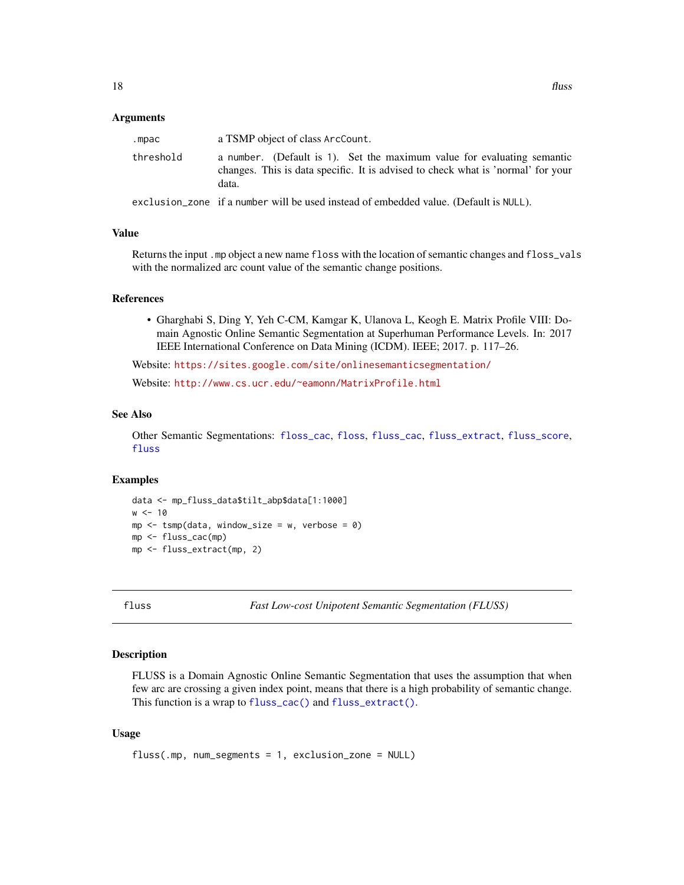#### <span id="page-17-0"></span>**Arguments**

| .mpac     | a TSMP object of class ArcCount.                                                                                                                                     |  |
|-----------|----------------------------------------------------------------------------------------------------------------------------------------------------------------------|--|
| threshold | a number. (Default is 1). Set the maximum value for evaluating semantic<br>changes. This is data specific. It is advised to check what is 'normal' for your<br>data. |  |
|           | exclusion zone if a number will be used instead of embedded value. (Default is NULL).                                                                                |  |

#### Value

Returns the input .mp object a new name floss with the location of semantic changes and floss\_vals with the normalized arc count value of the semantic change positions.

#### References

• Gharghabi S, Ding Y, Yeh C-CM, Kamgar K, Ulanova L, Keogh E. Matrix Profile VIII: Domain Agnostic Online Semantic Segmentation at Superhuman Performance Levels. In: 2017 IEEE International Conference on Data Mining (ICDM). IEEE; 2017. p. 117–26.

Website: <https://sites.google.com/site/onlinesemanticsegmentation/>

Website: <http://www.cs.ucr.edu/~eamonn/MatrixProfile.html>

#### See Also

Other Semantic Segmentations: [floss\\_cac](#page-15-1), [floss](#page-14-1), [fluss\\_cac](#page-18-1), [fluss\\_extract](#page-19-1), [fluss\\_score](#page-20-1), [fluss](#page-17-1)

#### Examples

```
data <- mp_fluss_data$tilt_abp$data[1:1000]
w < -10mp \le - \text{tsmp}(\text{data}, \text{window\_size} = w, \text{ verbose} = \emptyset)mp <- fluss_cac(mp)
mp <- fluss_extract(mp, 2)
```
<span id="page-17-1"></span>

fluss *Fast Low-cost Unipotent Semantic Segmentation (FLUSS)*

#### Description

FLUSS is a Domain Agnostic Online Semantic Segmentation that uses the assumption that when few arc are crossing a given index point, means that there is a high probability of semantic change. This function is a wrap to [fluss\\_cac\(\)](#page-18-1) and [fluss\\_extract\(\)](#page-19-1).

# Usage

```
fluss(.mp, num_segments = 1, exclusion_zone = NULL)
```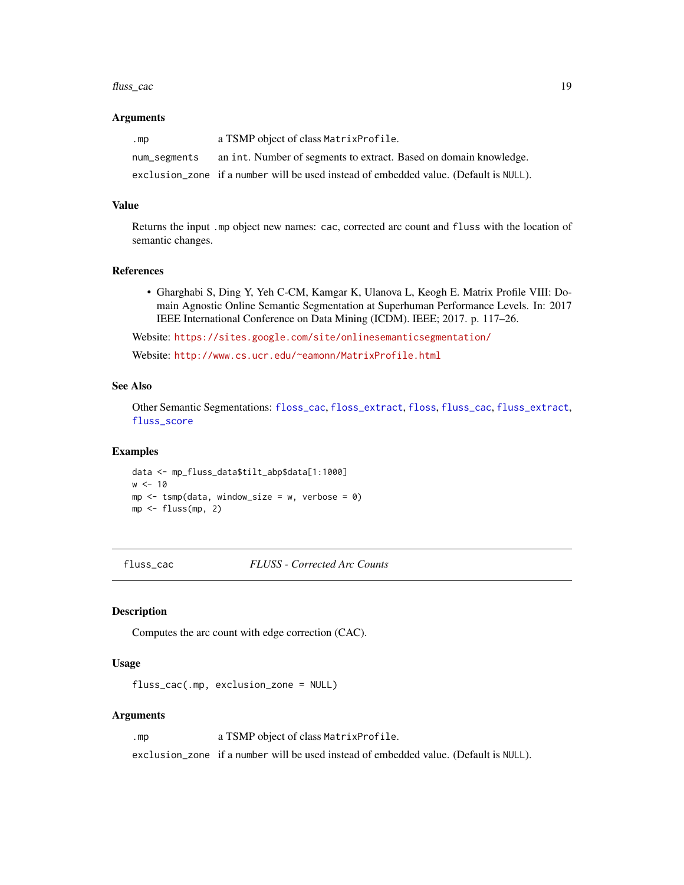#### <span id="page-18-0"></span>fluss\_cac 19

#### Arguments

| .mp          | a TSMP object of class Matrix Profile.                                                |
|--------------|---------------------------------------------------------------------------------------|
| num_segments | an int. Number of segments to extract. Based on domain knowledge.                     |
|              | exclusion_zone if a number will be used instead of embedded value. (Default is NULL). |

#### Value

Returns the input .mp object new names: cac, corrected arc count and fluss with the location of semantic changes.

#### References

• Gharghabi S, Ding Y, Yeh C-CM, Kamgar K, Ulanova L, Keogh E. Matrix Profile VIII: Domain Agnostic Online Semantic Segmentation at Superhuman Performance Levels. In: 2017 IEEE International Conference on Data Mining (ICDM). IEEE; 2017. p. 117–26.

Website: <https://sites.google.com/site/onlinesemanticsegmentation/>

Website: <http://www.cs.ucr.edu/~eamonn/MatrixProfile.html>

# See Also

Other Semantic Segmentations: [floss\\_cac](#page-15-1), [floss\\_extract](#page-16-1), [floss](#page-14-1), [fluss\\_cac](#page-18-1), [fluss\\_extract](#page-19-1), [fluss\\_score](#page-20-1)

#### Examples

data <- mp\_fluss\_data\$tilt\_abp\$data[1:1000]  $w < -10$  $mp \le -$  tsmp(data, window\_size = w, verbose = 0) mp <- fluss(mp, 2)

<span id="page-18-1"></span>fluss\_cac *FLUSS - Corrected Arc Counts*

#### Description

Computes the arc count with edge correction (CAC).

#### Usage

fluss\_cac(.mp, exclusion\_zone = NULL)

#### Arguments

.mp a TSMP object of class MatrixProfile.

exclusion\_zone if a number will be used instead of embedded value. (Default is NULL).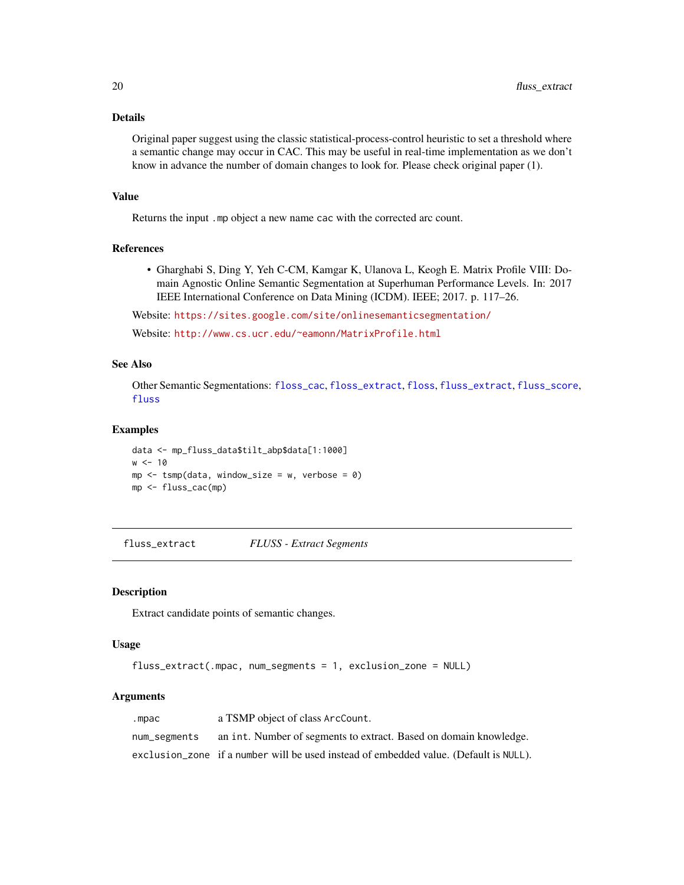# Details

Original paper suggest using the classic statistical-process-control heuristic to set a threshold where a semantic change may occur in CAC. This may be useful in real-time implementation as we don't know in advance the number of domain changes to look for. Please check original paper (1).

# Value

Returns the input .mp object a new name cac with the corrected arc count.

# References

• Gharghabi S, Ding Y, Yeh C-CM, Kamgar K, Ulanova L, Keogh E. Matrix Profile VIII: Domain Agnostic Online Semantic Segmentation at Superhuman Performance Levels. In: 2017 IEEE International Conference on Data Mining (ICDM). IEEE; 2017. p. 117–26.

Website: <https://sites.google.com/site/onlinesemanticsegmentation/>

Website: <http://www.cs.ucr.edu/~eamonn/MatrixProfile.html>

# See Also

Other Semantic Segmentations: [floss\\_cac](#page-15-1), [floss\\_extract](#page-16-1), [floss](#page-14-1), [fluss\\_extract](#page-19-1), [fluss\\_score](#page-20-1), [fluss](#page-17-1)

#### Examples

```
data <- mp_fluss_data$tilt_abp$data[1:1000]
w < -10mp \le - tsmp(data, window_size = w, verbose = 0)
mp <- fluss_cac(mp)
```
<span id="page-19-1"></span>fluss\_extract *FLUSS - Extract Segments*

#### Description

Extract candidate points of semantic changes.

# Usage

```
fluss_extract(.mpac, num_segments = 1, exclusion_zone = NULL)
```

| .mpac        | a TSMP object of class ArcCount.                                                      |
|--------------|---------------------------------------------------------------------------------------|
| num_segments | an int. Number of segments to extract. Based on domain knowledge.                     |
|              | exclusion_zone if a number will be used instead of embedded value. (Default is NULL). |

<span id="page-19-0"></span>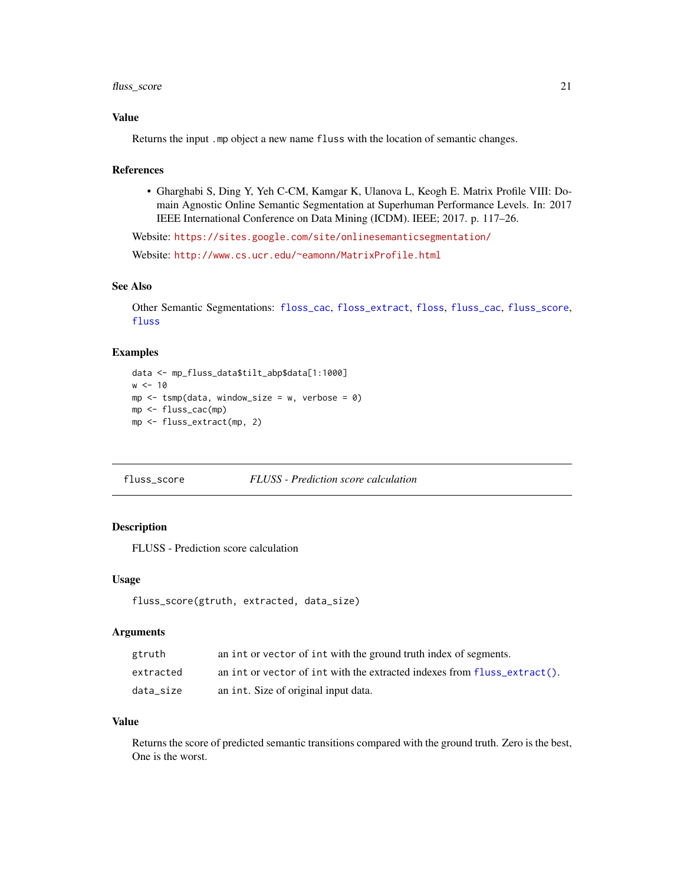# <span id="page-20-0"></span>fluss\_score 21

# Value

Returns the input .mp object a new name fluss with the location of semantic changes.

#### References

• Gharghabi S, Ding Y, Yeh C-CM, Kamgar K, Ulanova L, Keogh E. Matrix Profile VIII: Domain Agnostic Online Semantic Segmentation at Superhuman Performance Levels. In: 2017 IEEE International Conference on Data Mining (ICDM). IEEE; 2017. p. 117–26.

Website: <https://sites.google.com/site/onlinesemanticsegmentation/>

Website: <http://www.cs.ucr.edu/~eamonn/MatrixProfile.html>

# See Also

Other Semantic Segmentations: [floss\\_cac](#page-15-1), [floss\\_extract](#page-16-1), [floss](#page-14-1), [fluss\\_cac](#page-18-1), [fluss\\_score](#page-20-1), [fluss](#page-17-1)

#### Examples

```
data <- mp_fluss_data$tilt_abp$data[1:1000]
w < -10mp \le - tsmp(data, window_size = w, verbose = 0)
mp <- fluss_cac(mp)
mp <- fluss_extract(mp, 2)
```
# <span id="page-20-1"></span>fluss\_score *FLUSS - Prediction score calculation*

#### Description

FLUSS - Prediction score calculation

#### Usage

```
fluss_score(gtruth, extracted, data_size)
```
# Arguments

| gtruth    | an int or vector of int with the ground truth index of segments.              |
|-----------|-------------------------------------------------------------------------------|
| extracted | an int or vector of int with the extracted indexes from fluss $ext{next}()$ . |
| data size | an int. Size of original input data.                                          |

# Value

Returns the score of predicted semantic transitions compared with the ground truth. Zero is the best, One is the worst.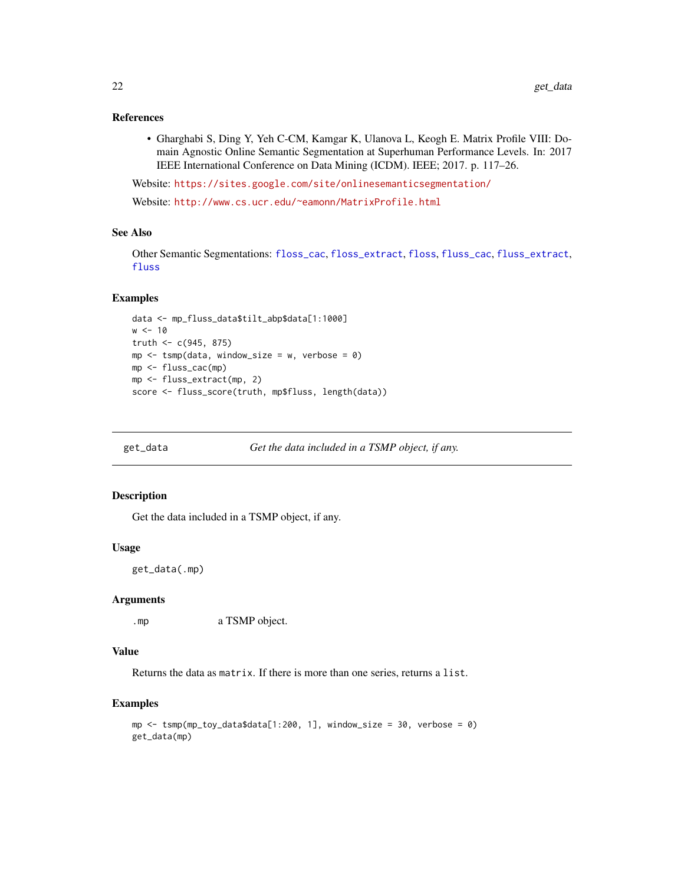#### <span id="page-21-0"></span>References

• Gharghabi S, Ding Y, Yeh C-CM, Kamgar K, Ulanova L, Keogh E. Matrix Profile VIII: Domain Agnostic Online Semantic Segmentation at Superhuman Performance Levels. In: 2017 IEEE International Conference on Data Mining (ICDM). IEEE; 2017. p. 117–26.

Website: <https://sites.google.com/site/onlinesemanticsegmentation/>

Website: <http://www.cs.ucr.edu/~eamonn/MatrixProfile.html>

# See Also

Other Semantic Segmentations: [floss\\_cac](#page-15-1), [floss\\_extract](#page-16-1), [floss](#page-14-1), [fluss\\_cac](#page-18-1), [fluss\\_extract](#page-19-1), [fluss](#page-17-1)

#### Examples

```
data <- mp_fluss_data$tilt_abp$data[1:1000]
w < -10truth <-c(945, 875)mp <- tsmp(data, window_size = w, verbose = 0)
mp <- fluss_cac(mp)
mp <- fluss_extract(mp, 2)
score <- fluss_score(truth, mp$fluss, length(data))
```

```
get_data Get the data included in a TSMP object, if any.
```
#### Description

Get the data included in a TSMP object, if any.

### Usage

get\_data(.mp)

#### Arguments

.mp a TSMP object.

#### Value

Returns the data as matrix. If there is more than one series, returns a list.

```
mp <- tsmp(mp_toy_data$data[1:200, 1], window_size = 30, verbose = 0)
get_data(mp)
```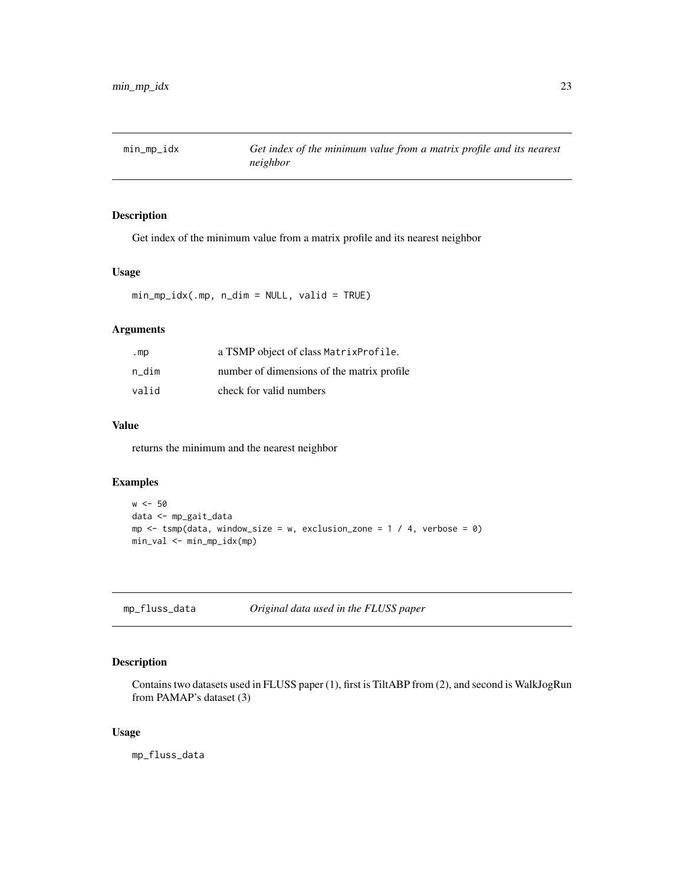<span id="page-22-0"></span>

Get index of the minimum value from a matrix profile and its nearest neighbor

# Usage

min\_mp\_idx(.mp, n\_dim = NULL, valid = TRUE)

# Arguments

| .mp   | a TSMP object of class Matrix Profile.     |
|-------|--------------------------------------------|
| n dim | number of dimensions of the matrix profile |
| valid | check for valid numbers                    |

# Value

returns the minimum and the nearest neighbor

# Examples

```
w < -50data <- mp_gait_data
mp \le -tsmp(data, window_size = w, exclusion_zone = 1 / 4, verbose = 0)
min_val <- min_mp_idx(mp)
```
mp\_fluss\_data *Original data used in the FLUSS paper*

# Description

Contains two datasets used in FLUSS paper (1), first is TiltABP from (2), and second is WalkJogRun from PAMAP's dataset (3)

# Usage

mp\_fluss\_data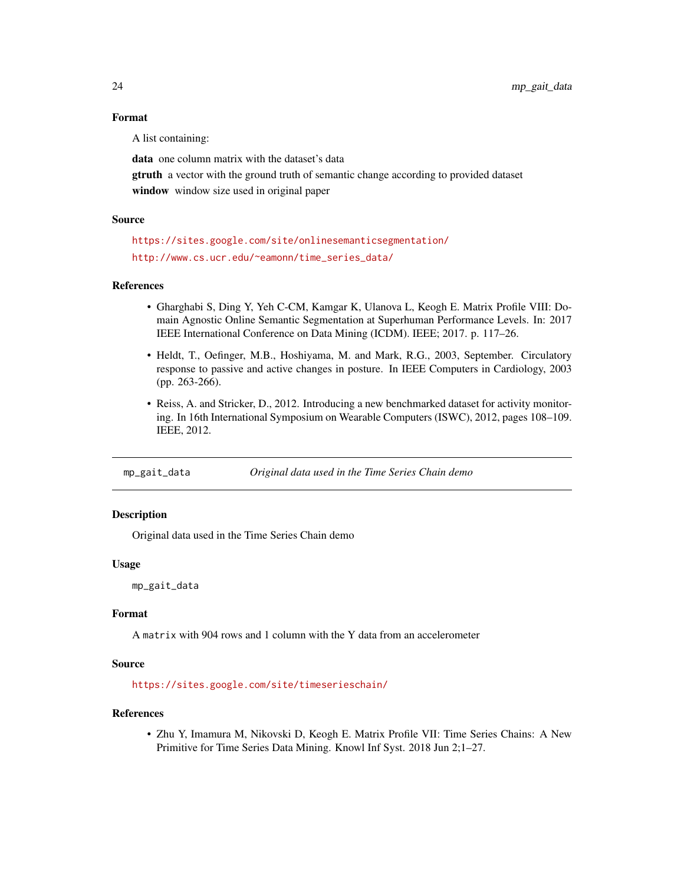#### Format

A list containing:

data one column matrix with the dataset's data gtruth a vector with the ground truth of semantic change according to provided dataset window window size used in original paper

# Source

<https://sites.google.com/site/onlinesemanticsegmentation/> [http://www.cs.ucr.edu/~eamonn/time\\_series\\_data/](http://www.cs.ucr.edu/~eamonn/time_series_data/)

#### References

- Gharghabi S, Ding Y, Yeh C-CM, Kamgar K, Ulanova L, Keogh E. Matrix Profile VIII: Domain Agnostic Online Semantic Segmentation at Superhuman Performance Levels. In: 2017 IEEE International Conference on Data Mining (ICDM). IEEE; 2017. p. 117–26.
- Heldt, T., Oefinger, M.B., Hoshiyama, M. and Mark, R.G., 2003, September. Circulatory response to passive and active changes in posture. In IEEE Computers in Cardiology, 2003 (pp. 263-266).
- Reiss, A. and Stricker, D., 2012. Introducing a new benchmarked dataset for activity monitoring. In 16th International Symposium on Wearable Computers (ISWC), 2012, pages 108–109. IEEE, 2012.

mp\_gait\_data *Original data used in the Time Series Chain demo*

# Description

Original data used in the Time Series Chain demo

#### Usage

mp\_gait\_data

# Format

A matrix with 904 rows and 1 column with the Y data from an accelerometer

#### Source

<https://sites.google.com/site/timeserieschain/>

# References

• Zhu Y, Imamura M, Nikovski D, Keogh E. Matrix Profile VII: Time Series Chains: A New Primitive for Time Series Data Mining. Knowl Inf Syst. 2018 Jun 2;1–27.

<span id="page-23-0"></span>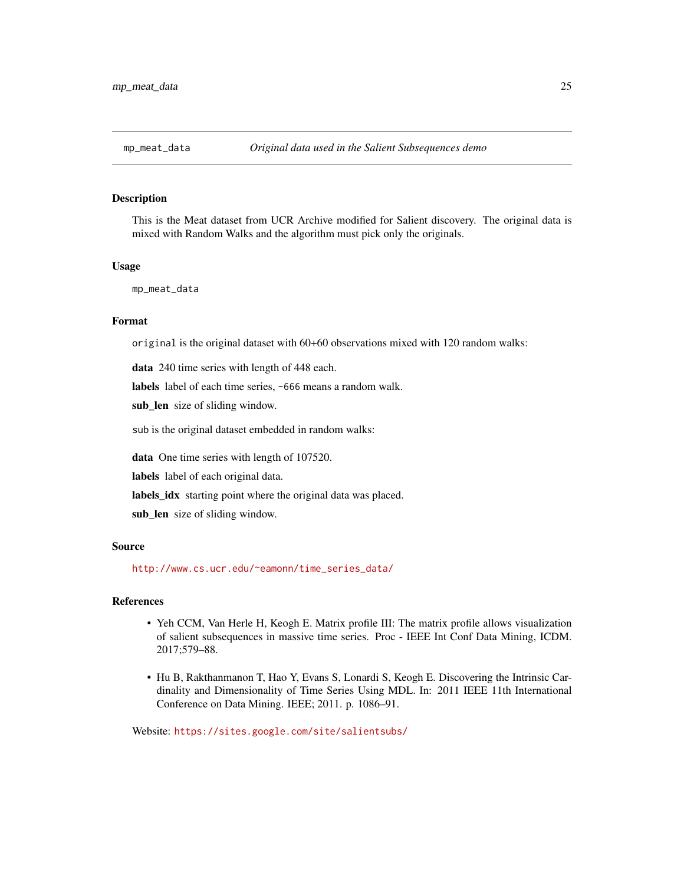<span id="page-24-0"></span>This is the Meat dataset from UCR Archive modified for Salient discovery. The original data is mixed with Random Walks and the algorithm must pick only the originals.

#### Usage

mp\_meat\_data

#### Format

original is the original dataset with 60+60 observations mixed with 120 random walks:

data 240 time series with length of 448 each.

labels label of each time series, -666 means a random walk.

sub\_len size of sliding window.

sub is the original dataset embedded in random walks:

data One time series with length of 107520.

labels label of each original data.

labels\_idx starting point where the original data was placed.

sub\_len size of sliding window.

# Source

[http://www.cs.ucr.edu/~eamonn/time\\_series\\_data/](http://www.cs.ucr.edu/~eamonn/time_series_data/)

#### References

- Yeh CCM, Van Herle H, Keogh E. Matrix profile III: The matrix profile allows visualization of salient subsequences in massive time series. Proc - IEEE Int Conf Data Mining, ICDM. 2017;579–88.
- Hu B, Rakthanmanon T, Hao Y, Evans S, Lonardi S, Keogh E. Discovering the Intrinsic Cardinality and Dimensionality of Time Series Using MDL. In: 2011 IEEE 11th International Conference on Data Mining. IEEE; 2011. p. 1086–91.

Website: <https://sites.google.com/site/salientsubs/>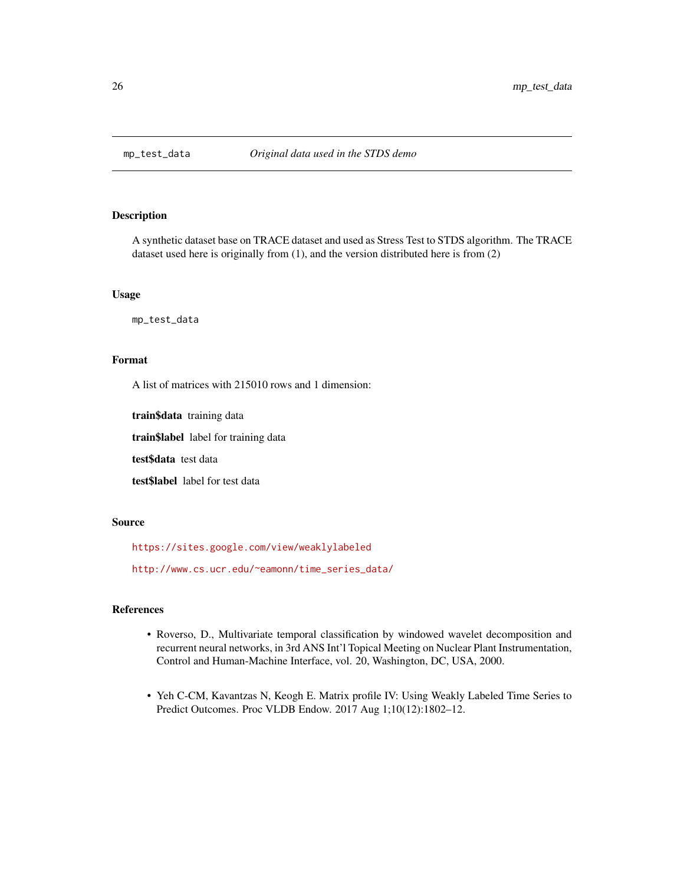<span id="page-25-0"></span>

A synthetic dataset base on TRACE dataset and used as Stress Test to STDS algorithm. The TRACE dataset used here is originally from (1), and the version distributed here is from (2)

#### Usage

mp\_test\_data

# Format

A list of matrices with 215010 rows and 1 dimension:

train\$data training data

train\$label label for training data

test\$data test data

test\$label label for test data

#### Source

<https://sites.google.com/view/weaklylabeled>

[http://www.cs.ucr.edu/~eamonn/time\\_series\\_data/](http://www.cs.ucr.edu/~eamonn/time_series_data/)

# References

- Roverso, D., Multivariate temporal classification by windowed wavelet decomposition and recurrent neural networks, in 3rd ANS Int'l Topical Meeting on Nuclear Plant Instrumentation, Control and Human-Machine Interface, vol. 20, Washington, DC, USA, 2000.
- Yeh C-CM, Kavantzas N, Keogh E. Matrix profile IV: Using Weakly Labeled Time Series to Predict Outcomes. Proc VLDB Endow. 2017 Aug 1;10(12):1802–12.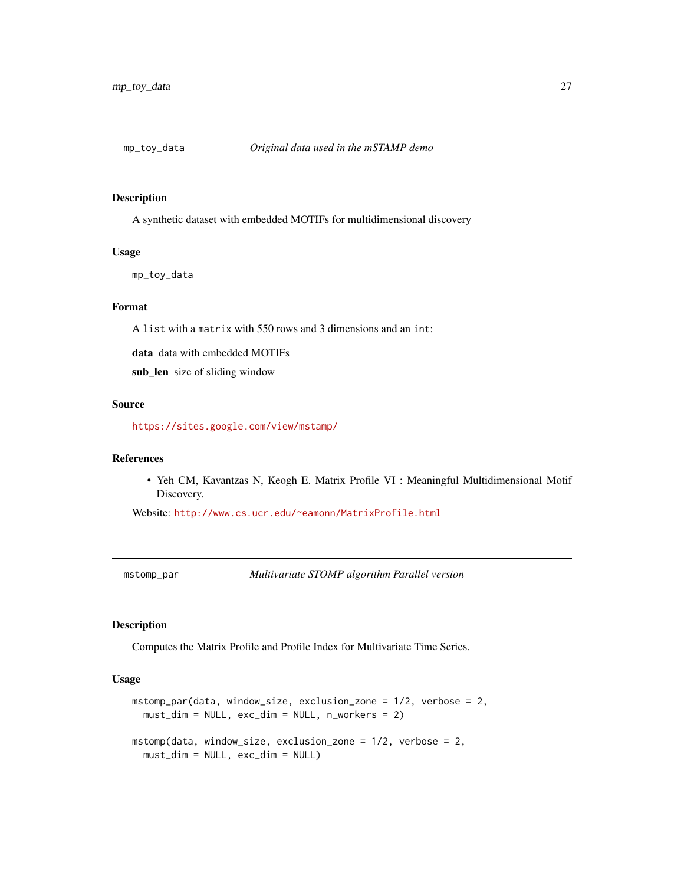<span id="page-26-0"></span>

A synthetic dataset with embedded MOTIFs for multidimensional discovery

#### Usage

mp\_toy\_data

# Format

A list with a matrix with 550 rows and 3 dimensions and an int:

data data with embedded MOTIFs

sub\_len size of sliding window

# Source

<https://sites.google.com/view/mstamp/>

# References

• Yeh CM, Kavantzas N, Keogh E. Matrix Profile VI : Meaningful Multidimensional Motif Discovery.

Website: <http://www.cs.ucr.edu/~eamonn/MatrixProfile.html>

<span id="page-26-1"></span>mstomp\_par *Multivariate STOMP algorithm Parallel version*

#### <span id="page-26-2"></span>Description

Computes the Matrix Profile and Profile Index for Multivariate Time Series.

# Usage

```
mstomp_par(data, window_size, exclusion_zone = 1/2, verbose = 2,
 must_dim = NULL, exc_dim = NULL, n_workers = 2)
mstomp(data, window_size, exclusion_zone = 1/2, verbose = 2,
 must_dim = NULL, exc_dim = NULL)
```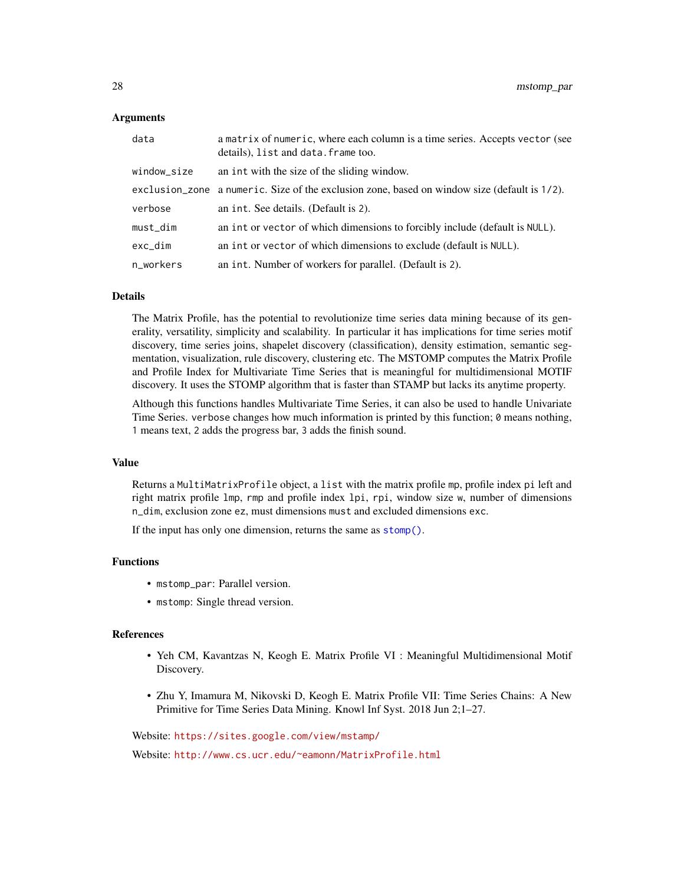# <span id="page-27-0"></span>Arguments

| data        | a matrix of numeric, where each column is a time series. Accepts vector (see<br>details), list and data. frame too. |
|-------------|---------------------------------------------------------------------------------------------------------------------|
| window_size | an int with the size of the sliding window.                                                                         |
|             | exclusion_zone a numeric. Size of the exclusion zone, based on window size (default is 1/2).                        |
| verbose     | an int. See details. (Default is 2).                                                                                |
| must_dim    | an int or vector of which dimensions to forcibly include (default is NULL).                                         |
| exc dim     | an int or vector of which dimensions to exclude (default is NULL).                                                  |
| n_workers   | an int. Number of workers for parallel. (Default is 2).                                                             |

# Details

The Matrix Profile, has the potential to revolutionize time series data mining because of its generality, versatility, simplicity and scalability. In particular it has implications for time series motif discovery, time series joins, shapelet discovery (classification), density estimation, semantic segmentation, visualization, rule discovery, clustering etc. The MSTOMP computes the Matrix Profile and Profile Index for Multivariate Time Series that is meaningful for multidimensional MOTIF discovery. It uses the STOMP algorithm that is faster than STAMP but lacks its anytime property.

Although this functions handles Multivariate Time Series, it can also be used to handle Univariate Time Series. verbose changes how much information is printed by this function; 0 means nothing, 1 means text, 2 adds the progress bar, 3 adds the finish sound.

#### Value

Returns a MultiMatrixProfile object, a list with the matrix profile mp, profile index pi left and right matrix profile lmp, rmp and profile index lpi, rpi, window size w, number of dimensions n\_dim, exclusion zone ez, must dimensions must and excluded dimensions exc.

If the input has only one dimension, returns the same as [stomp\(\)](#page-44-1).

#### Functions

- mstomp\_par: Parallel version.
- mstomp: Single thread version.

#### References

- Yeh CM, Kavantzas N, Keogh E. Matrix Profile VI : Meaningful Multidimensional Motif Discovery.
- Zhu Y, Imamura M, Nikovski D, Keogh E. Matrix Profile VII: Time Series Chains: A New Primitive for Time Series Data Mining. Knowl Inf Syst. 2018 Jun 2;1–27.

Website: <https://sites.google.com/view/mstamp/>

Website: <http://www.cs.ucr.edu/~eamonn/MatrixProfile.html>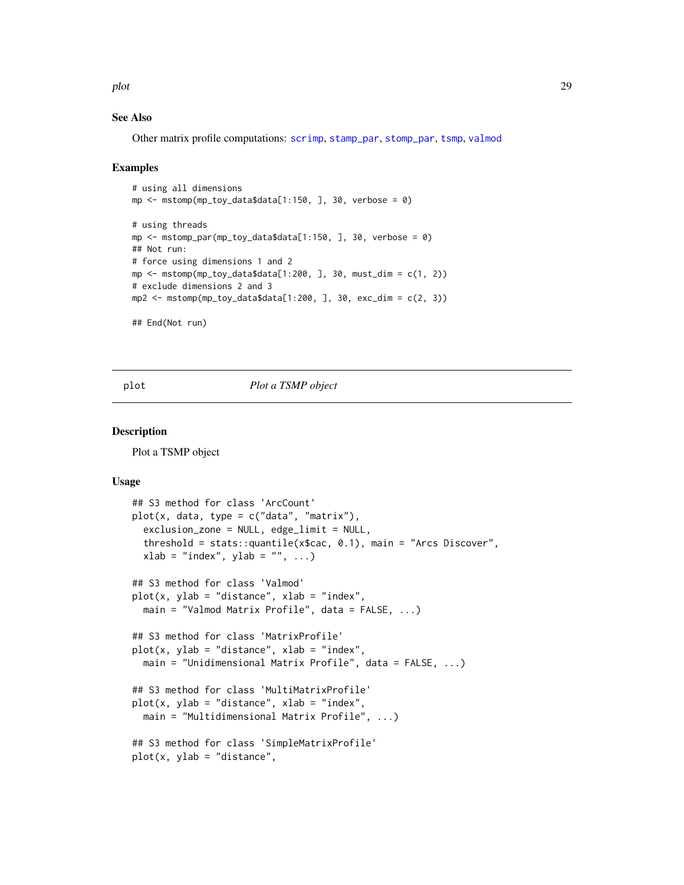<span id="page-28-0"></span>plot the contract of the contract of the contract of the contract of the contract of the contract of the contract of the contract of the contract of the contract of the contract of the contract of the contract of the contr

# See Also

Other matrix profile computations: [scrimp](#page-35-1), [stamp\\_par](#page-42-1), [stomp\\_par](#page-44-2), [tsmp](#page-46-1), [valmod](#page-48-1)

#### Examples

```
# using all dimensions
mp \leq mstomp(mp_toy_data$data[1:150, ], 30, verbose = 0)
# using threads
mp \leq mstomp_par(mp_toy_data$data[1:150, ], 30, verbose = 0)
## Not run:
# force using dimensions 1 and 2
mp \leq mstomp(mp_toy_data$data[1:200, ], 30, must_dim = c(1, 2))
# exclude dimensions 2 and 3
mp2 <- mstomp(mp_toy_data$data[1:200, ], 30, exc_dim = c(2, 3))
## End(Not run)
```
<span id="page-28-1"></span>

plot *Plot a TSMP object*

# Description

Plot a TSMP object

#### Usage

```
## S3 method for class 'ArcCount'
plot(x, data, type = c("data", "matrix"),exclusion_zone = NULL, edge_limit = NULL,
  threshold = stats::quantile(x$cac, 0.1), main = "Arcs Discover",
 xlab = "index", ylab = "", ...)## S3 method for class 'Valmod'
plot(x, ylab = "distance", xlab = "index",main = "Valmod Matrix Profile", data = FALSE, ...)
## S3 method for class 'MatrixProfile'
plot(x, ylab = "distance", xlab = "index",main = "Unidimensional Matrix Profile", data = FALSE, ...)
## S3 method for class 'MultiMatrixProfile'
plot(x, ylab = "distance", xlab = "index",main = "Multidimensional Matrix Profile", ...)
## S3 method for class 'SimpleMatrixProfile'
plot(x, ylab = "distance",
```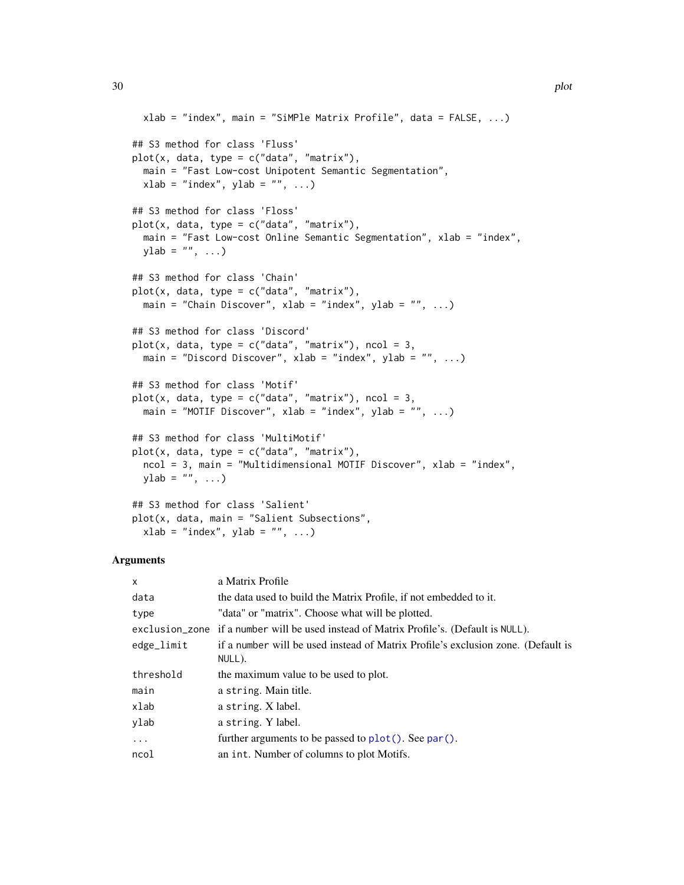```
xlab = "index", main = "SiMPle Matrix Profile", data = FALSE, ...)
## S3 method for class 'Fluss'
plot(x, data, type = c("data", "matrix"),main = "Fast Low-cost Unipotent Semantic Segmentation",
 xlab = "index", ylab = "", ...)## S3 method for class 'Floss'
plot(x, data, type = c("data", "matrix"),main = "Fast Low-cost Online Semantic Segmentation", xlab = "index",
 ylab = ", ...)
## S3 method for class 'Chain'
plot(x, data, type = c("data", "matrix"),main = "Chain Discover", xlab = "index", ylab = "", ...)
## S3 method for class 'Discord'
plot(x, data, type = c("data", "matrix"), ncol = 3,main = "Discord Discover", xlab = "index", ylab = "", ...)
## S3 method for class 'Motif'
plot(x, data, type = c("data", "matrix"), ncol = 3,main = "MOTIF Discover", xlab = "index", ylab = "", ...)
## S3 method for class 'MultiMotif'
plot(x, data, type = c("data", "matrix"),ncol = 3, main = "Multidimensional MOTIF Discover", xlab = "index",
 ylab = ", ...)
## S3 method for class 'Salient'
```
plot(x, data, main = "Salient Subsections",

 $xlab = "index", ylab = "", ...)$ 

| $\mathsf{x}$ | a Matrix Profile                                                                           |
|--------------|--------------------------------------------------------------------------------------------|
| data         | the data used to build the Matrix Profile, if not embedded to it.                          |
| type         | "data" or "matrix". Choose what will be plotted.                                           |
|              | exclusion_zone if a number will be used instead of Matrix Profile's. (Default is NULL).    |
| edge_limit   | if a number will be used instead of Matrix Profile's exclusion zone. (Default is<br>NULL). |
| threshold    | the maximum value to be used to plot.                                                      |
| main         | a string. Main title.                                                                      |
| xlab         | a string. X label.                                                                         |
| ylab         | a string. Y label.                                                                         |
| $\cdots$     | further arguments to be passed to $plot()$ . See par().                                    |
| ncol         | an int. Number of columns to plot Motifs.                                                  |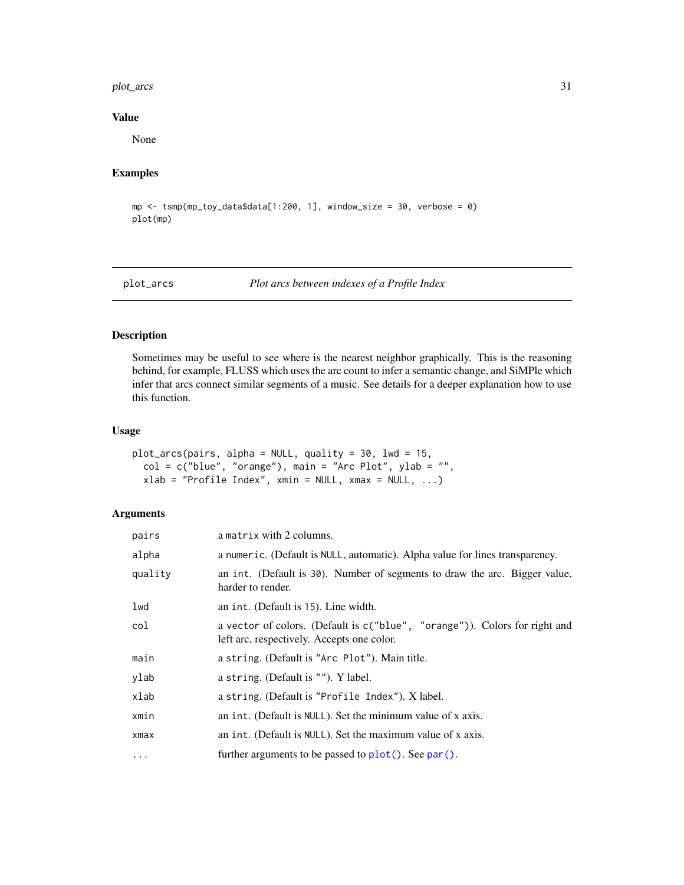#### <span id="page-30-0"></span>plot\_arcs 31

# Value

None

# Examples

```
mp <- tsmp(mp_toy_data$data[1:200, 1], window_size = 30, verbose = 0)
plot(mp)
```
plot\_arcs *Plot arcs between indexes of a Profile Index*

#### Description

Sometimes may be useful to see where is the nearest neighbor graphically. This is the reasoning behind, for example, FLUSS which uses the arc count to infer a semantic change, and SiMPle which infer that arcs connect similar segments of a music. See details for a deeper explanation how to use this function.

# Usage

```
plot_arcs(pairs, alpha = NULL, quality = 30, lwd = 15,
 col = c("blue", "orange"), main = "Arc Plot", ylab = "",xlab = "Profitile Index", xmin = NULL, xmax = NULL, ...)
```

| pairs    | a matrix with 2 columns.                                                                                                 |
|----------|--------------------------------------------------------------------------------------------------------------------------|
| alpha    | a numeric. (Default is NULL, automatic). Alpha value for lines transparency.                                             |
| quality  | an int. (Default is 30). Number of segments to draw the arc. Bigger value,<br>harder to render.                          |
| lwd      | an int. (Default is 15). Line width.                                                                                     |
| col      | a vector of colors. (Default is c("blue", "orange")). Colors for right and<br>left arc, respectively. Accepts one color. |
| main     | a string. (Default is "Arc Plot"). Main title.                                                                           |
| ylab     | a string. (Default is ""). Y label.                                                                                      |
| xlab     | a string. (Default is "Profile Index"). X label.                                                                         |
| xmin     | an int. (Default is NULL). Set the minimum value of x axis.                                                              |
| xmax     | an int. (Default is NULL). Set the maximum value of x axis.                                                              |
| $\cdots$ | further arguments to be passed to $plot()$ . See par().                                                                  |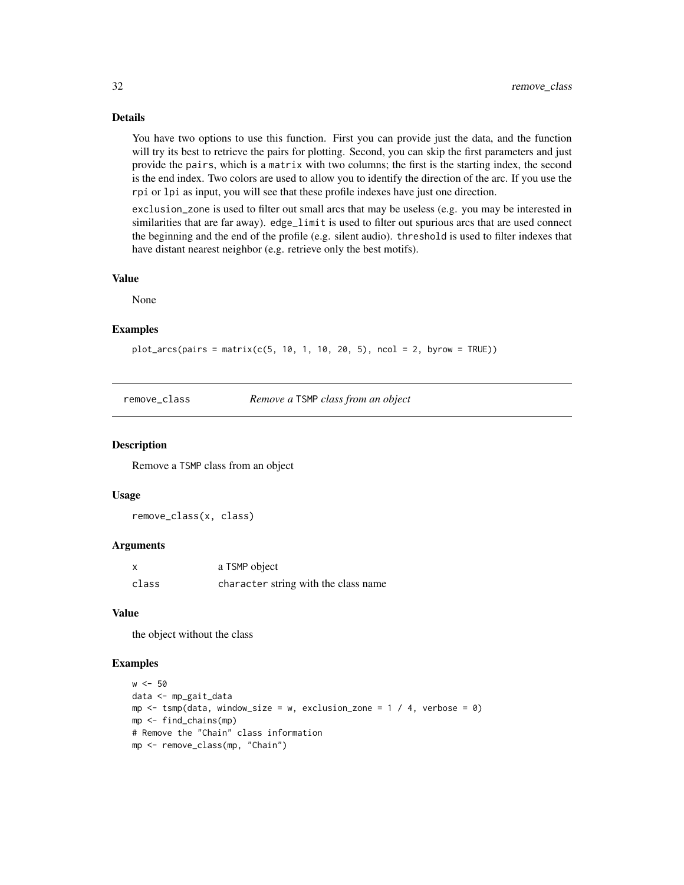# Details

You have two options to use this function. First you can provide just the data, and the function will try its best to retrieve the pairs for plotting. Second, you can skip the first parameters and just provide the pairs, which is a matrix with two columns; the first is the starting index, the second is the end index. Two colors are used to allow you to identify the direction of the arc. If you use the rpi or lpi as input, you will see that these profile indexes have just one direction.

exclusion\_zone is used to filter out small arcs that may be useless (e.g. you may be interested in similarities that are far away). edge\_limit is used to filter out spurious arcs that are used connect the beginning and the end of the profile (e.g. silent audio). threshold is used to filter indexes that have distant nearest neighbor (e.g. retrieve only the best motifs).

#### Value

None

#### Examples

 $plot_{arcs}(pairs = matrix(c(5, 10, 1, 10, 20, 5), ncol = 2, byrow = TRUE))$ 

remove\_class *Remove a* TSMP *class from an object*

#### **Description**

Remove a TSMP class from an object

#### Usage

remove\_class(x, class)

#### Arguments

| X     | a TSMP object                        |
|-------|--------------------------------------|
| class | character string with the class name |

#### Value

the object without the class

```
w <- 50
data <- mp_gait_data
mp \le - tsmp(data, window_size = w, exclusion_zone = 1 / 4, verbose = 0)
mp <- find_chains(mp)
# Remove the "Chain" class information
mp <- remove_class(mp, "Chain")
```
<span id="page-31-0"></span>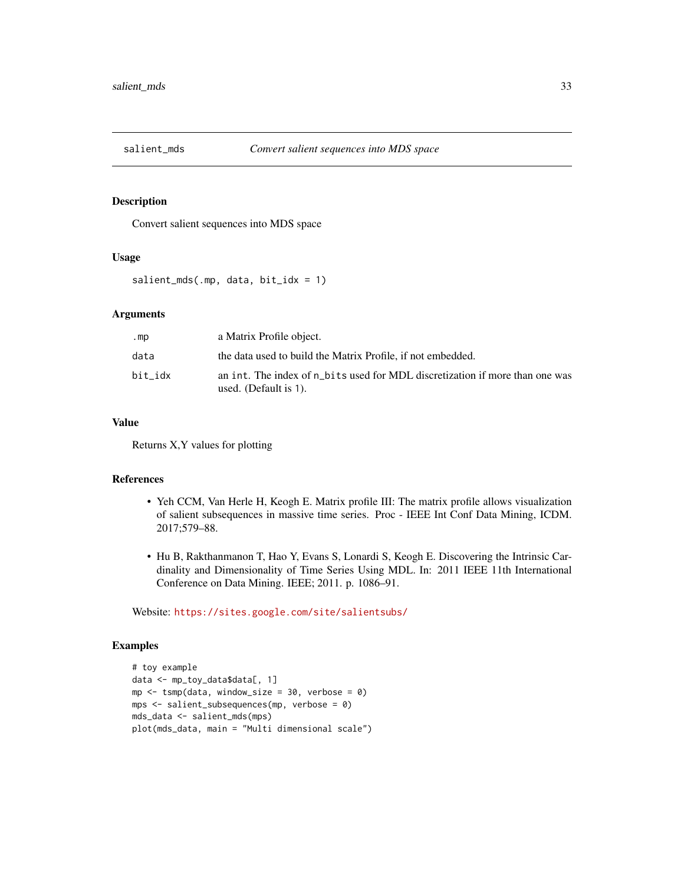<span id="page-32-0"></span>

Convert salient sequences into MDS space

# Usage

salient\_mds(.mp, data, bit\_idx = 1)

# Arguments

| .mp     | a Matrix Profile object.                                                                              |
|---------|-------------------------------------------------------------------------------------------------------|
| data    | the data used to build the Matrix Profile, if not embedded.                                           |
| bit idx | an int. The index of n bits used for MDL discretization if more than one was<br>used. (Default is 1). |

# Value

Returns X,Y values for plotting

# References

- Yeh CCM, Van Herle H, Keogh E. Matrix profile III: The matrix profile allows visualization of salient subsequences in massive time series. Proc - IEEE Int Conf Data Mining, ICDM. 2017;579–88.
- Hu B, Rakthanmanon T, Hao Y, Evans S, Lonardi S, Keogh E. Discovering the Intrinsic Cardinality and Dimensionality of Time Series Using MDL. In: 2011 IEEE 11th International Conference on Data Mining. IEEE; 2011. p. 1086–91.

Website: <https://sites.google.com/site/salientsubs/>

```
# toy example
data <- mp_toy_data$data[, 1]
mp \le - tsmp(data, window_size = 30, verbose = 0)
mps <- salient_subsequences(mp, verbose = 0)
mds_data <- salient_mds(mps)
plot(mds_data, main = "Multi dimensional scale")
```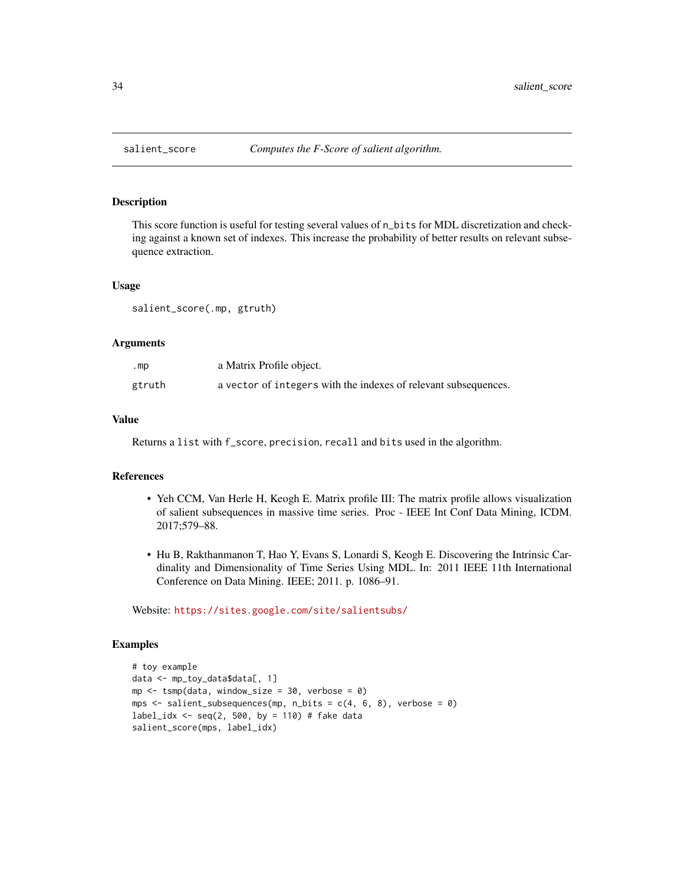<span id="page-33-0"></span>

This score function is useful for testing several values of n\_bits for MDL discretization and checking against a known set of indexes. This increase the probability of better results on relevant subsequence extraction.

#### Usage

salient\_score(.mp, gtruth)

# Arguments

| $. mp$ | a Matrix Profile object.                                        |
|--------|-----------------------------------------------------------------|
| gtruth | a vector of integers with the indexes of relevant subsequences. |

# Value

Returns a list with f\_score, precision, recall and bits used in the algorithm.

# References

- Yeh CCM, Van Herle H, Keogh E. Matrix profile III: The matrix profile allows visualization of salient subsequences in massive time series. Proc - IEEE Int Conf Data Mining, ICDM. 2017;579–88.
- Hu B, Rakthanmanon T, Hao Y, Evans S, Lonardi S, Keogh E. Discovering the Intrinsic Cardinality and Dimensionality of Time Series Using MDL. In: 2011 IEEE 11th International Conference on Data Mining. IEEE; 2011. p. 1086–91.

Website: <https://sites.google.com/site/salientsubs/>

```
# toy example
data <- mp_toy_data$data[, 1]
mp \le -\t comp(data, window_size = 30, verbose = 0)mps \le salient_subsequences(mp, n_bits = c(4, 6, 8), verbose = 0)
label_idx <- seq(2, 500, by = 110) # fake data
salient_score(mps, label_idx)
```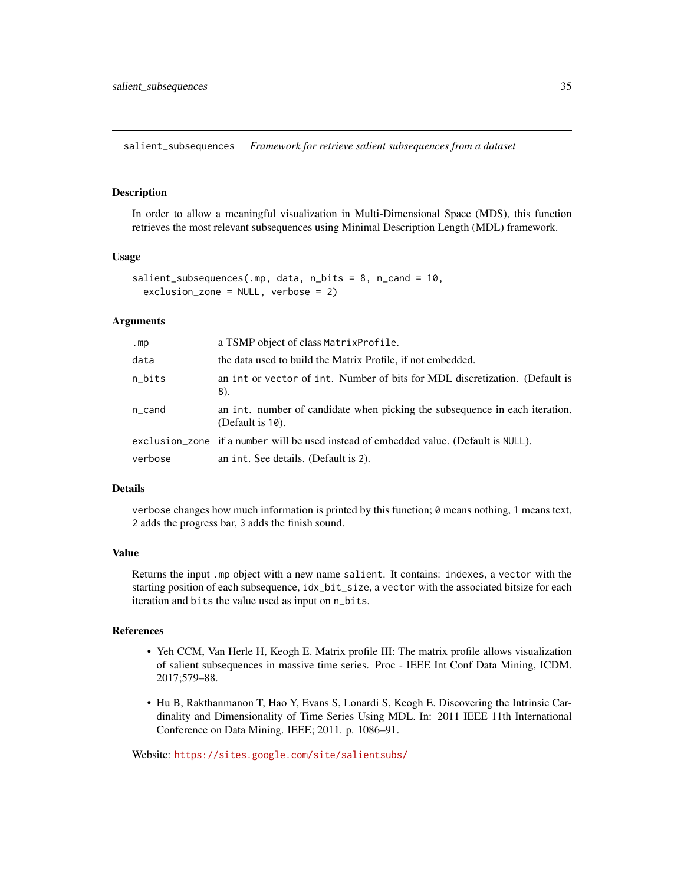<span id="page-34-0"></span>salient\_subsequences *Framework for retrieve salient subsequences from a dataset*

#### Description

In order to allow a meaningful visualization in Multi-Dimensional Space (MDS), this function retrieves the most relevant subsequences using Minimal Description Length (MDL) framework.

### Usage

```
salient_subsequences(.mp, data, n_bits = 8, n_cand = 10,
 exclusion_zone = NULL, verbose = 2)
```
# Arguments

| .mp     | a TSMP object of class Matrix Profile.                                                          |
|---------|-------------------------------------------------------------------------------------------------|
| data    | the data used to build the Matrix Profile, if not embedded.                                     |
| n_bits  | an int or vector of int. Number of bits for MDL discretization. (Default is<br>8).              |
| n_cand  | an int. number of candidate when picking the subsequence in each iteration.<br>(Default is 10). |
|         | exclusion_zone if a number will be used instead of embedded value. (Default is NULL).           |
| verbose | an int. See details. (Default is 2).                                                            |

#### Details

verbose changes how much information is printed by this function; 0 means nothing, 1 means text, 2 adds the progress bar, 3 adds the finish sound.

# Value

Returns the input .mp object with a new name salient. It contains: indexes, a vector with the starting position of each subsequence,  $idx\_bit\_size$ , a vector with the associated bitsize for each iteration and bits the value used as input on n\_bits.

#### References

- Yeh CCM, Van Herle H, Keogh E. Matrix profile III: The matrix profile allows visualization of salient subsequences in massive time series. Proc - IEEE Int Conf Data Mining, ICDM. 2017;579–88.
- Hu B, Rakthanmanon T, Hao Y, Evans S, Lonardi S, Keogh E. Discovering the Intrinsic Cardinality and Dimensionality of Time Series Using MDL. In: 2011 IEEE 11th International Conference on Data Mining. IEEE; 2011. p. 1086–91.

Website: <https://sites.google.com/site/salientsubs/>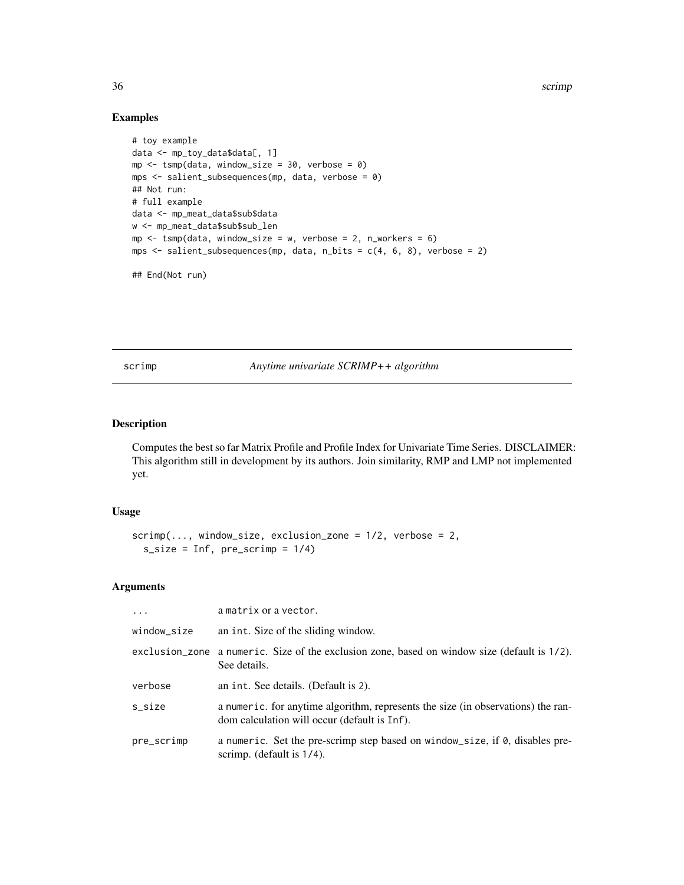36 scrimp

# Examples

```
# toy example
data <- mp_toy_data$data[, 1]
mp \le tsmp(data, window_size = 30, verbose = 0)
mps <- salient_subsequences(mp, data, verbose = 0)
## Not run:
# full example
data <- mp_meat_data$sub$data
w <- mp_meat_data$sub$sub_len
mp \le -\text{tsmp}(data, window\_size = w, verbose = 2, n_works = 6)mps <- salient_subsequences(mp, data, n_bits = c(4, 6, 8), verbose = 2)
```
## End(Not run)

<span id="page-35-1"></span>scrimp *Anytime univariate SCRIMP++ algorithm*

# Description

Computes the best so far Matrix Profile and Profile Index for Univariate Time Series. DISCLAIMER: This algorithm still in development by its authors. Join similarity, RMP and LMP not implemented yet.

#### Usage

```
script(..., window\_size, exclusion\_zone = 1/2, verbose = 2,s\_size = Inf, pre\_script = 1/4)
```

| $\ddots$    | a matrix or a vector.                                                                                                            |
|-------------|----------------------------------------------------------------------------------------------------------------------------------|
| window_size | an int. Size of the sliding window.                                                                                              |
|             | exclusion_zone a numeric. Size of the exclusion zone, based on window size (default is 1/2).<br>See details.                     |
| verbose     | an int. See details. (Default is 2).                                                                                             |
| s_size      | a numeric, for anytime algorithm, represents the size (in observations) the ran-<br>dom calculation will occur (default is Inf). |
| pre_scrimp  | a numeric. Set the pre-scrimp step based on window_size, if $\theta$ , disables pre-<br>scrimp. (default is $1/4$ ).             |

<span id="page-35-0"></span>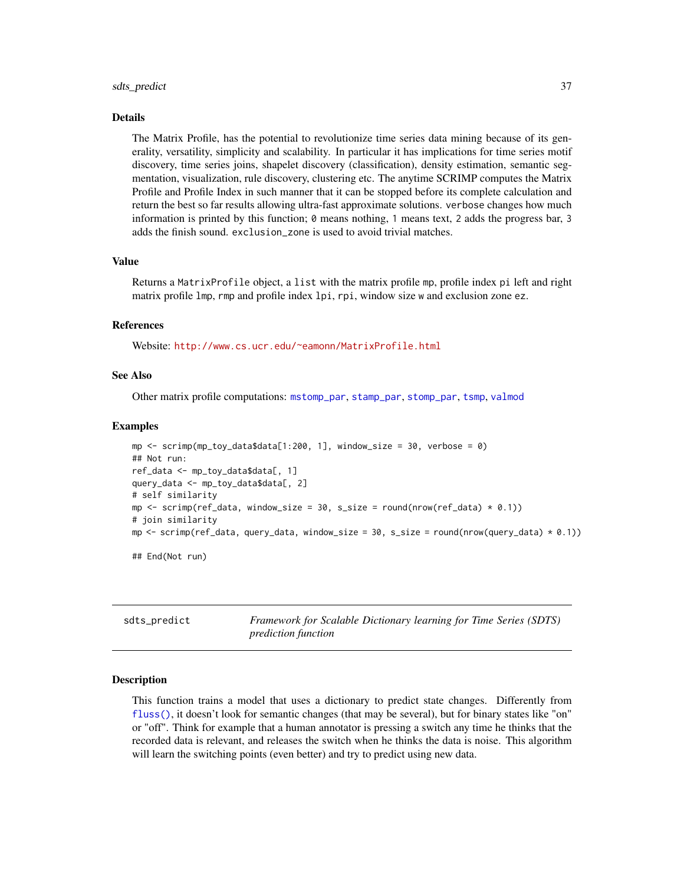#### <span id="page-36-0"></span>sdts\_predict 37

#### Details

The Matrix Profile, has the potential to revolutionize time series data mining because of its generality, versatility, simplicity and scalability. In particular it has implications for time series motif discovery, time series joins, shapelet discovery (classification), density estimation, semantic segmentation, visualization, rule discovery, clustering etc. The anytime SCRIMP computes the Matrix Profile and Profile Index in such manner that it can be stopped before its complete calculation and return the best so far results allowing ultra-fast approximate solutions. verbose changes how much information is printed by this function; 0 means nothing, 1 means text, 2 adds the progress bar, 3 adds the finish sound. exclusion\_zone is used to avoid trivial matches.

#### Value

Returns a MatrixProfile object, a list with the matrix profile mp, profile index pi left and right matrix profile lmp, rmp and profile index lpi, rpi, window size w and exclusion zone ez.

#### References

Website: <http://www.cs.ucr.edu/~eamonn/MatrixProfile.html>

#### See Also

Other matrix profile computations: [mstomp\\_par](#page-26-1), [stamp\\_par](#page-42-1), [stomp\\_par](#page-44-2), [tsmp](#page-46-1), [valmod](#page-48-1)

#### Examples

```
mp \le - scrimp(mp_toy_data$data[1:200, 1], window_size = 30, verbose = 0)
## Not run:
ref_data <- mp_toy_data$data[, 1]
query_data <- mp_toy_data$data[, 2]
# self similarity
mp \le - scrimp(ref_data, window_size = 30, s_size = round(nrow(ref_data) * 0.1))
# join similarity
mp <- scrimp(ref_data, query_data, window_size = 30, s_size = round(nrow(query_data) * 0.1))
## End(Not run)
```
<span id="page-36-1"></span>sdts\_predict *Framework for Scalable Dictionary learning for Time Series (SDTS) prediction function*

#### Description

This function trains a model that uses a dictionary to predict state changes. Differently from [fluss\(\)](#page-17-1), it doesn't look for semantic changes (that may be several), but for binary states like "on" or "off". Think for example that a human annotator is pressing a switch any time he thinks that the recorded data is relevant, and releases the switch when he thinks the data is noise. This algorithm will learn the switching points (even better) and try to predict using new data.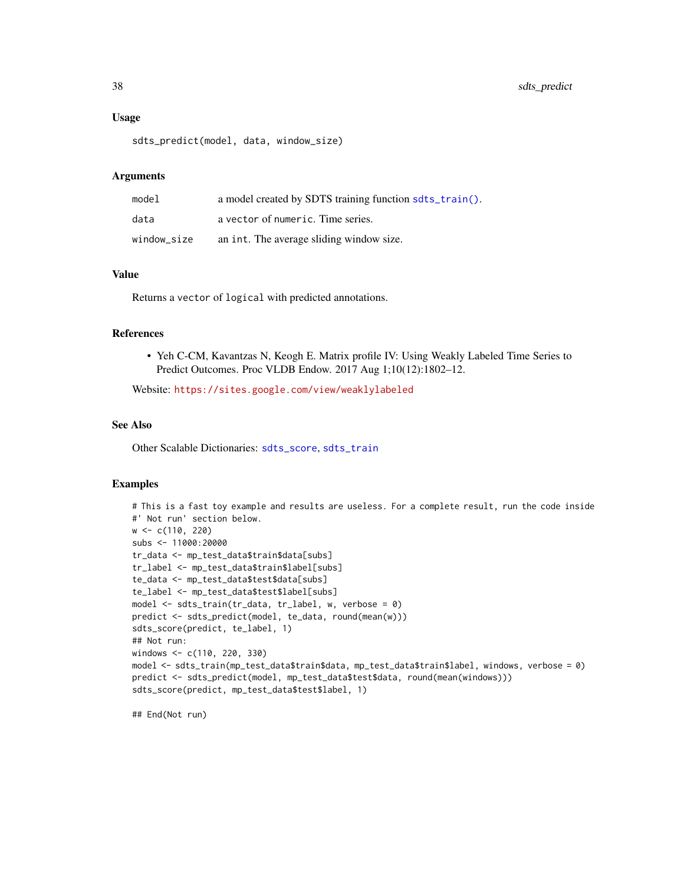#### Usage

```
sdts_predict(model, data, window_size)
```
#### **Arguments**

| model       | a model created by SDTS training function sdts_train(). |
|-------------|---------------------------------------------------------|
| data        | a vector of numeric. Time series.                       |
| window size | an int. The average sliding window size.                |

# Value

Returns a vector of logical with predicted annotations.

#### References

• Yeh C-CM, Kavantzas N, Keogh E. Matrix profile IV: Using Weakly Labeled Time Series to Predict Outcomes. Proc VLDB Endow. 2017 Aug 1;10(12):1802–12.

Website: <https://sites.google.com/view/weaklylabeled>

# See Also

Other Scalable Dictionaries: [sdts\\_score](#page-38-1), [sdts\\_train](#page-39-1)

# Examples

```
# This is a fast toy example and results are useless. For a complete result, run the code inside
#' Not run' section below.
w <- c(110, 220)
subs <- 11000:20000
tr_data <- mp_test_data$train$data[subs]
tr_label <- mp_test_data$train$label[subs]
te_data <- mp_test_data$test$data[subs]
te_label <- mp_test_data$test$label[subs]
model \leq sdts_train(tr_data, tr_label, w, verbose = 0)
predict <- sdts_predict(model, te_data, round(mean(w)))
sdts_score(predict, te_label, 1)
## Not run:
windows <- c(110, 220, 330)
model <- sdts_train(mp_test_data$train$data, mp_test_data$train$label, windows, verbose = 0)
predict <- sdts_predict(model, mp_test_data$test$data, round(mean(windows)))
sdts_score(predict, mp_test_data$test$label, 1)
```
## End(Not run)

<span id="page-37-0"></span>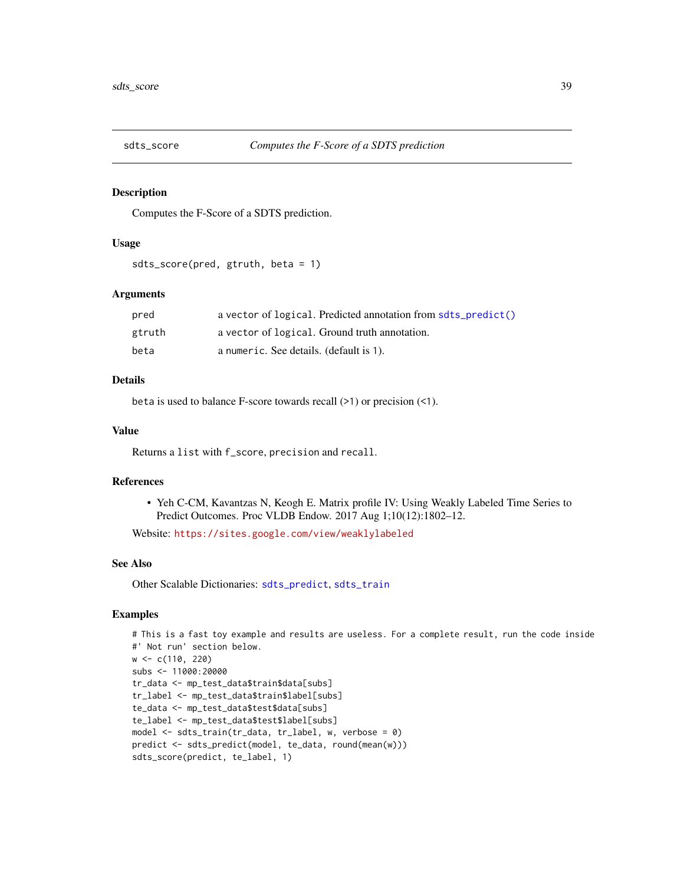<span id="page-38-1"></span><span id="page-38-0"></span>

Computes the F-Score of a SDTS prediction.

#### Usage

```
sdts_score(pred, gtruth, beta = 1)
```
# Arguments

| pred   | a vector of logical. Predicted annotation from sdts_predict() |
|--------|---------------------------------------------------------------|
| gtruth | a vector of logical. Ground truth annotation.                 |
| beta   | a numeric. See details. (default is 1).                       |

#### Details

beta is used to balance F-score towards recall (>1) or precision (<1).

# Value

Returns a list with f\_score, precision and recall.

# References

• Yeh C-CM, Kavantzas N, Keogh E. Matrix profile IV: Using Weakly Labeled Time Series to Predict Outcomes. Proc VLDB Endow. 2017 Aug 1;10(12):1802–12.

Website: <https://sites.google.com/view/weaklylabeled>

#### See Also

Other Scalable Dictionaries: [sdts\\_predict](#page-36-1), [sdts\\_train](#page-39-1)

```
# This is a fast toy example and results are useless. For a complete result, run the code inside
#' Not run' section below.
w <- c(110, 220)
subs <- 11000:20000
tr_data <- mp_test_data$train$data[subs]
tr_label <- mp_test_data$train$label[subs]
te_data <- mp_test_data$test$data[subs]
te_label <- mp_test_data$test$label[subs]
model <- sdts_train(tr_data, tr_label, w, verbose = 0)
predict <- sdts_predict(model, te_data, round(mean(w)))
sdts_score(predict, te_label, 1)
```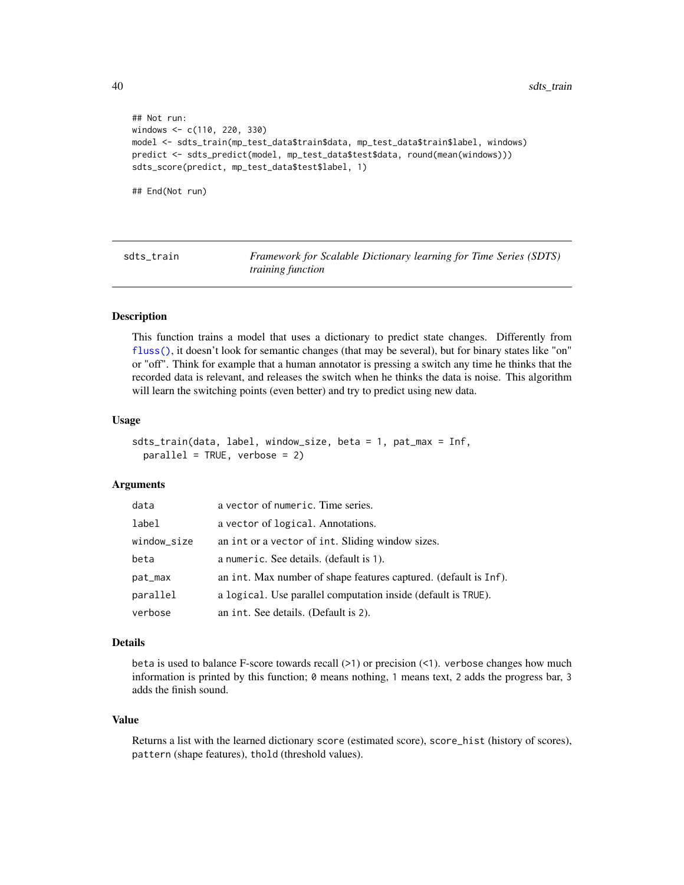```
## Not run:
windows <- c(110, 220, 330)
model <- sdts_train(mp_test_data$train$data, mp_test_data$train$label, windows)
predict <- sdts_predict(model, mp_test_data$test$data, round(mean(windows)))
sdts_score(predict, mp_test_data$test$label, 1)
```
## End(Not run)

<span id="page-39-1"></span>sdts\_train *Framework for Scalable Dictionary learning for Time Series (SDTS) training function*

#### Description

This function trains a model that uses a dictionary to predict state changes. Differently from [fluss\(\)](#page-17-1), it doesn't look for semantic changes (that may be several), but for binary states like "on" or "off". Think for example that a human annotator is pressing a switch any time he thinks that the recorded data is relevant, and releases the switch when he thinks the data is noise. This algorithm will learn the switching points (even better) and try to predict using new data.

#### Usage

sdts\_train(data, label, window\_size, beta = 1, pat\_max = Inf, parallel = TRUE, verbose = 2)

#### Arguments

| data        | a vector of numeric. Time series.                                |
|-------------|------------------------------------------------------------------|
| label       | a vector of logical. Annotations.                                |
| window_size | an int or a vector of int. Sliding window sizes.                 |
| beta        | a numeric. See details. (default is 1).                          |
| pat_max     | an int. Max number of shape features captured. (default is Inf). |
| parallel    | a logical. Use parallel computation inside (default is TRUE).    |
| verbose     | an int. See details. (Default is 2).                             |

#### Details

beta is used to balance F-score towards recall (>1) or precision (<1). verbose changes how much information is printed by this function; 0 means nothing, 1 means text, 2 adds the progress bar, 3 adds the finish sound.

#### Value

Returns a list with the learned dictionary score (estimated score), score\_hist (history of scores), pattern (shape features), thold (threshold values).

<span id="page-39-0"></span>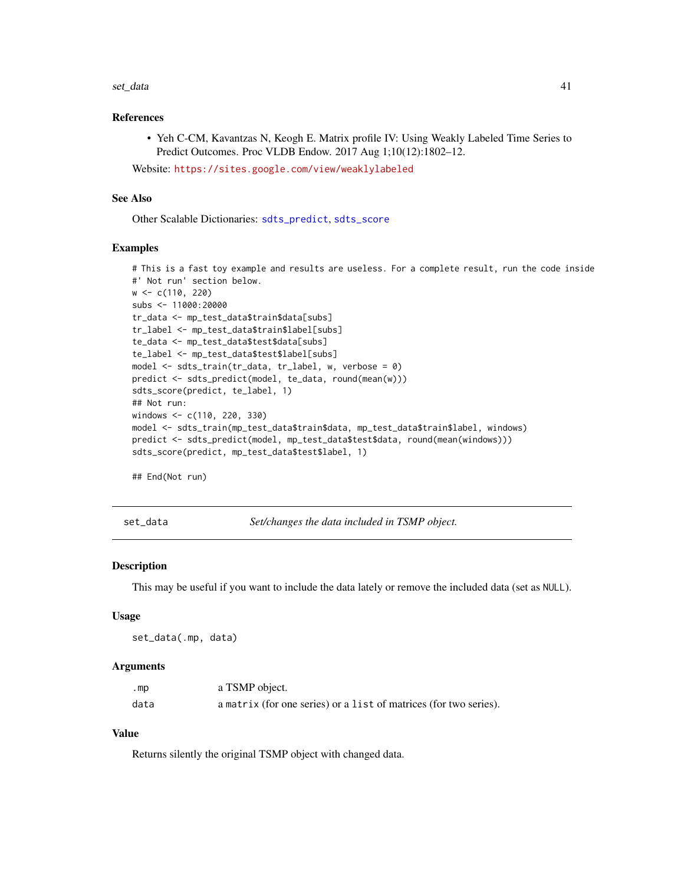#### <span id="page-40-0"></span>set\_data 41

# References

• Yeh C-CM, Kavantzas N, Keogh E. Matrix profile IV: Using Weakly Labeled Time Series to Predict Outcomes. Proc VLDB Endow. 2017 Aug 1;10(12):1802–12.

Website: <https://sites.google.com/view/weaklylabeled>

# See Also

Other Scalable Dictionaries: [sdts\\_predict](#page-36-1), [sdts\\_score](#page-38-1)

#### Examples

```
# This is a fast toy example and results are useless. For a complete result, run the code inside
#' Not run' section below.
w <- c(110, 220)
subs <- 11000:20000
tr_data <- mp_test_data$train$data[subs]
tr_label <- mp_test_data$train$label[subs]
te_data <- mp_test_data$test$data[subs]
te_label <- mp_test_data$test$label[subs]
model <- sdts_train(tr_data, tr_label, w, verbose = 0)
predict <- sdts_predict(model, te_data, round(mean(w)))
sdts_score(predict, te_label, 1)
## Not run:
windows <- c(110, 220, 330)
model <- sdts_train(mp_test_data$train$data, mp_test_data$train$label, windows)
predict <- sdts_predict(model, mp_test_data$test$data, round(mean(windows)))
sdts_score(predict, mp_test_data$test$label, 1)
```
## End(Not run)

set\_data *Set/changes the data included in TSMP object.*

#### Description

This may be useful if you want to include the data lately or remove the included data (set as NULL).

#### Usage

```
set_data(.mp, data)
```
#### Arguments

| .mp  | a TSMP object.                                                    |
|------|-------------------------------------------------------------------|
| data | a matrix (for one series) or a list of matrices (for two series). |

# Value

Returns silently the original TSMP object with changed data.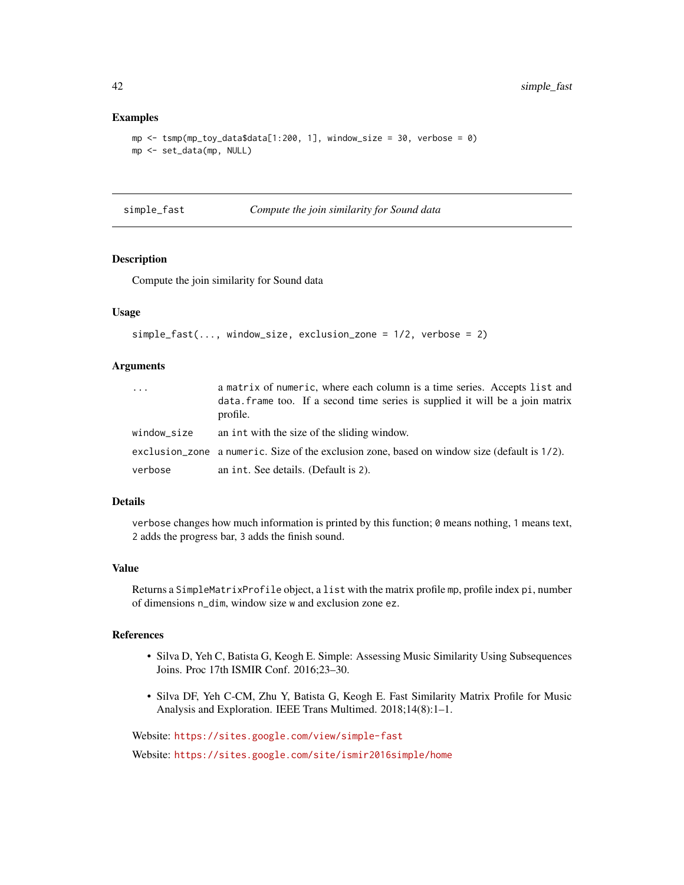#### Examples

```
mp <- tsmp(mp_toy_data$data[1:200, 1], window_size = 30, verbose = 0)
mp <- set_data(mp, NULL)
```
#### <span id="page-41-1"></span>simple\_fast *Compute the join similarity for Sound data*

# Description

Compute the join similarity for Sound data

### Usage

```
simple_fast(..., window_size, exclusion_zone = 1/2, verbose = 2)
```
#### Arguments

| $\cdots$    | a matrix of numeric, where each column is a time series. Accepts list and<br>data. frame too. If a second time series is supplied it will be a join matrix<br>profile. |
|-------------|------------------------------------------------------------------------------------------------------------------------------------------------------------------------|
| window_size | an int with the size of the sliding window.                                                                                                                            |
|             | exclusion_zone a numeric. Size of the exclusion zone, based on window size (default is 1/2).                                                                           |
| verbose     | an int. See details. (Default is 2).                                                                                                                                   |

#### Details

verbose changes how much information is printed by this function; 0 means nothing, 1 means text, 2 adds the progress bar, 3 adds the finish sound.

# Value

Returns a SimpleMatrixProfile object, a list with the matrix profile mp, profile index pi, number of dimensions n\_dim, window size w and exclusion zone ez.

# References

- Silva D, Yeh C, Batista G, Keogh E. Simple: Assessing Music Similarity Using Subsequences Joins. Proc 17th ISMIR Conf. 2016;23–30.
- Silva DF, Yeh C-CM, Zhu Y, Batista G, Keogh E. Fast Similarity Matrix Profile for Music Analysis and Exploration. IEEE Trans Multimed. 2018;14(8):1–1.

Website: <https://sites.google.com/view/simple-fast>

Website: <https://sites.google.com/site/ismir2016simple/home>

<span id="page-41-0"></span>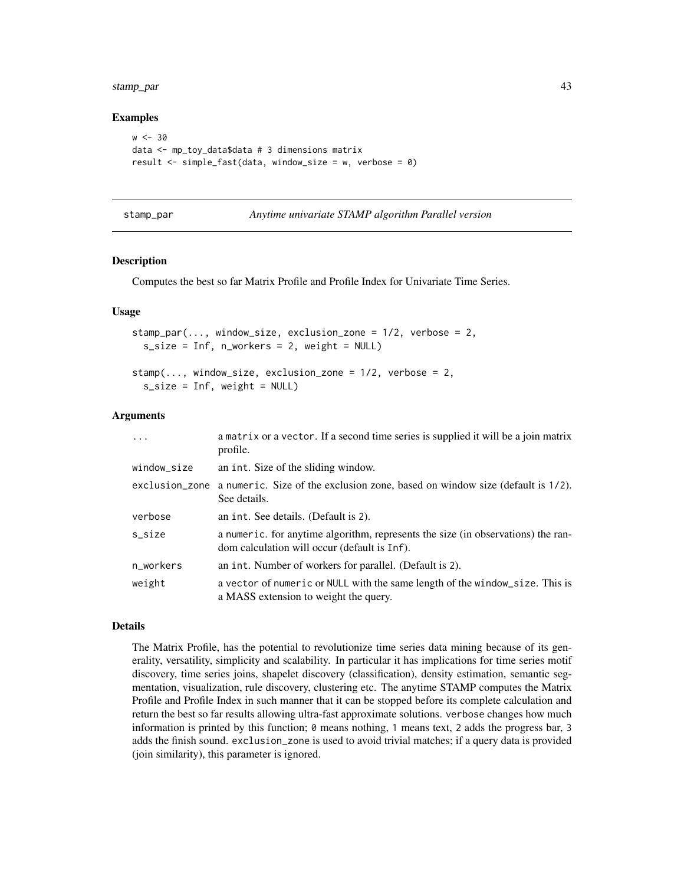<span id="page-42-0"></span>stamp\_par 43

#### Examples

```
w < -30data <- mp_toy_data$data # 3 dimensions matrix
result <- simple_fast(data, window_size = w, verbose = 0)
```
- 
- <span id="page-42-1"></span>stamp\_par *Anytime univariate STAMP algorithm Parallel version*

#### <span id="page-42-2"></span>Description

Computes the best so far Matrix Profile and Profile Index for Univariate Time Series.

#### Usage

```
stamp_par(..., window_size, exclusion_zone = 1/2, verbose = 2,
  s\_size = Inf, n\_works = 2, weight = NULL)stamp(..., window_size, exclusion_zone = 1/2, verbose = 2,
```

```
s_size = Inf, weight = NULL)
```
#### Arguments

| $\ddotsc$   | a matrix or a vector. If a second time series is supplied it will be a join matrix<br>profile.                                   |
|-------------|----------------------------------------------------------------------------------------------------------------------------------|
| window_size | an int. Size of the sliding window.                                                                                              |
|             | exclusion_zone a numeric. Size of the exclusion zone, based on window size (default is 1/2).<br>See details.                     |
| verbose     | an int. See details. (Default is 2).                                                                                             |
| s_size      | a numeric, for anytime algorithm, represents the size (in observations) the ran-<br>dom calculation will occur (default is Inf). |
| n_workers   | an int. Number of workers for parallel. (Default is 2).                                                                          |
| weight      | a vector of numeric or NULL with the same length of the window_size. This is<br>a MASS extension to weight the query.            |

# Details

The Matrix Profile, has the potential to revolutionize time series data mining because of its generality, versatility, simplicity and scalability. In particular it has implications for time series motif discovery, time series joins, shapelet discovery (classification), density estimation, semantic segmentation, visualization, rule discovery, clustering etc. The anytime STAMP computes the Matrix Profile and Profile Index in such manner that it can be stopped before its complete calculation and return the best so far results allowing ultra-fast approximate solutions. verbose changes how much information is printed by this function; 0 means nothing, 1 means text, 2 adds the progress bar, 3 adds the finish sound. exclusion\_zone is used to avoid trivial matches; if a query data is provided (join similarity), this parameter is ignored.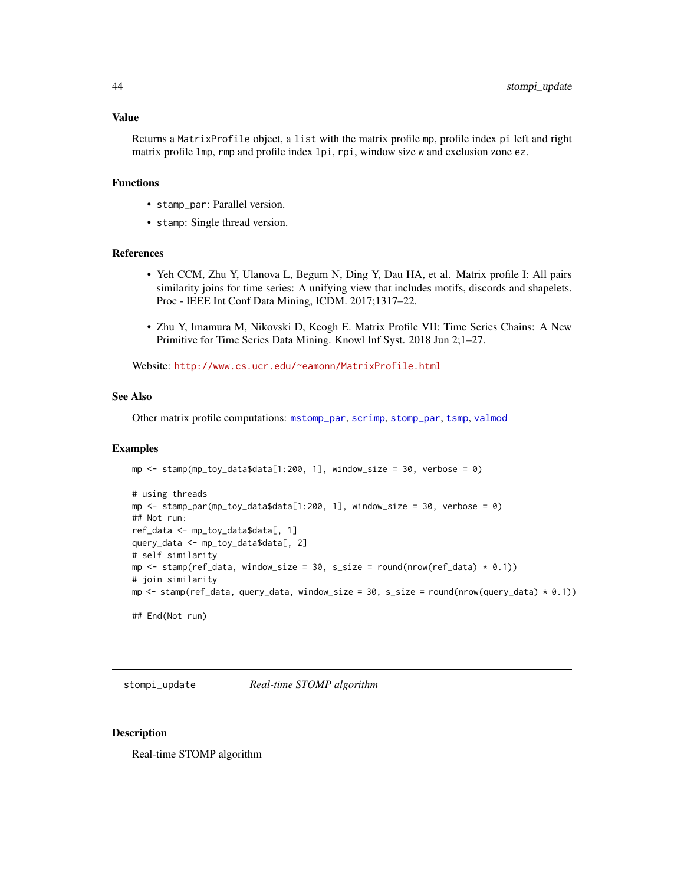#### <span id="page-43-0"></span>Value

Returns a MatrixProfile object, a list with the matrix profile mp, profile index pi left and right matrix profile lmp, rmp and profile index lpi, rpi, window size w and exclusion zone ez.

# Functions

- stamp\_par: Parallel version.
- stamp: Single thread version.

#### References

- Yeh CCM, Zhu Y, Ulanova L, Begum N, Ding Y, Dau HA, et al. Matrix profile I: All pairs similarity joins for time series: A unifying view that includes motifs, discords and shapelets. Proc - IEEE Int Conf Data Mining, ICDM. 2017;1317–22.
- Zhu Y, Imamura M, Nikovski D, Keogh E. Matrix Profile VII: Time Series Chains: A New Primitive for Time Series Data Mining. Knowl Inf Syst. 2018 Jun 2;1–27.

Website: <http://www.cs.ucr.edu/~eamonn/MatrixProfile.html>

#### See Also

Other matrix profile computations: [mstomp\\_par](#page-26-1), [scrimp](#page-35-1), [stomp\\_par](#page-44-2), [tsmp](#page-46-1), [valmod](#page-48-1)

#### Examples

```
mp \le stamp(mp_toy_data$data[1:200, 1], window_size = 30, verbose = 0)
# using threads
mp \le stamp_par(mp_toy_data$data[1:200, 1], window_size = 30, verbose = 0)
## Not run:
ref_data <- mp_toy_data$data[, 1]
query_data <- mp_toy_data$data[, 2]
# self similarity
mp \le stamp(ref_data, window_size = 30, s_size = round(nrow(ref_data) * 0.1))
# join similarity
mp \le - stamp(ref_data, query_data, window_size = 30, s_size = round(nrow(query_data) * 0.1))
## End(Not run)
```
stompi\_update *Real-time STOMP algorithm*

#### **Description**

Real-time STOMP algorithm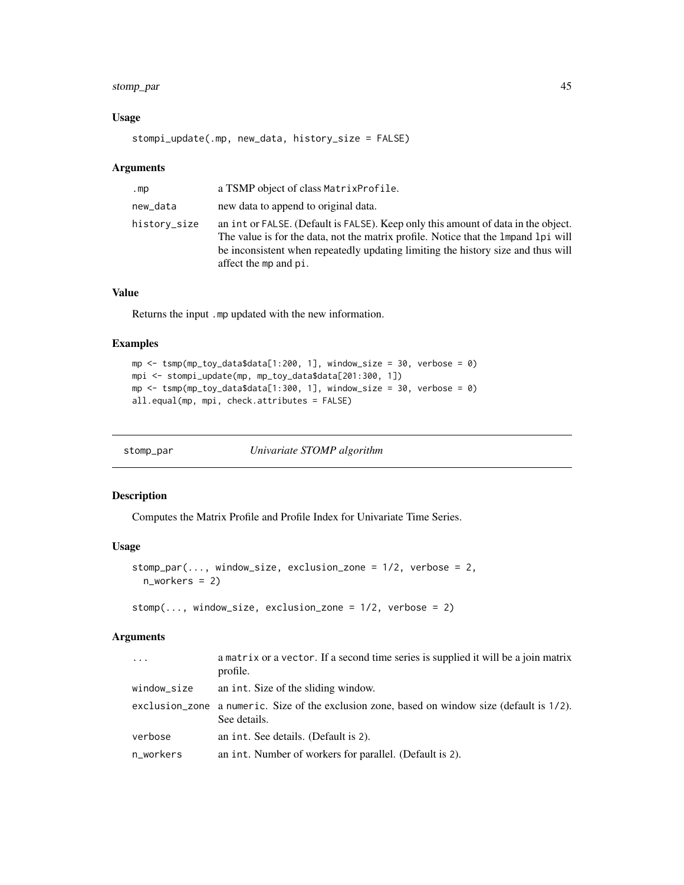# <span id="page-44-0"></span>stomp\_par 45

# Usage

```
stompi_update(.mp, new_data, history_size = FALSE)
```
# Arguments

| .mp          | a TSMP object of class Matrix Profile.                                                                                                                                                                                                                                                 |
|--------------|----------------------------------------------------------------------------------------------------------------------------------------------------------------------------------------------------------------------------------------------------------------------------------------|
| new_data     | new data to append to original data.                                                                                                                                                                                                                                                   |
| history_size | an int or FALSE. (Default is FALSE). Keep only this amount of data in the object.<br>The value is for the data, not the matrix profile. Notice that the 1 mpand 1 pi will<br>be inconsistent when repeatedly updating limiting the history size and thus will<br>affect the mp and pi. |

# Value

Returns the input .mp updated with the new information.

# Examples

```
mp <- tsmp(mp_toy_data$data[1:200, 1], window_size = 30, verbose = 0)
mpi <- stompi_update(mp, mp_toy_data$data[201:300, 1])
mp \le - tsmp(mp_toy_data$data[1:300, 1], window_size = 30, verbose = 0)
all.equal(mp, mpi, check.attributes = FALSE)
```
<span id="page-44-2"></span>

| stomp_par | Univariate STOMP algorithm |  |
|-----------|----------------------------|--|
|           |                            |  |

# <span id="page-44-1"></span>Description

Computes the Matrix Profile and Profile Index for Univariate Time Series.

# Usage

```
stomp_par(\dots, window_size, exclusion_zone = 1/2, verbose = 2,
  n_workers = 2)
```

```
stomp(..., window_size, exclusion_zone = 1/2, verbose = 2)
```

| $\ddots$ .  | a matrix or a vector. If a second time series is supplied it will be a join matrix<br>profile.               |
|-------------|--------------------------------------------------------------------------------------------------------------|
| window_size | an int. Size of the sliding window.                                                                          |
|             | exclusion_zone a numeric. Size of the exclusion zone, based on window size (default is 1/2).<br>See details. |
| verbose     | an int. See details. (Default is 2).                                                                         |
| n_workers   | an int. Number of workers for parallel. (Default is 2).                                                      |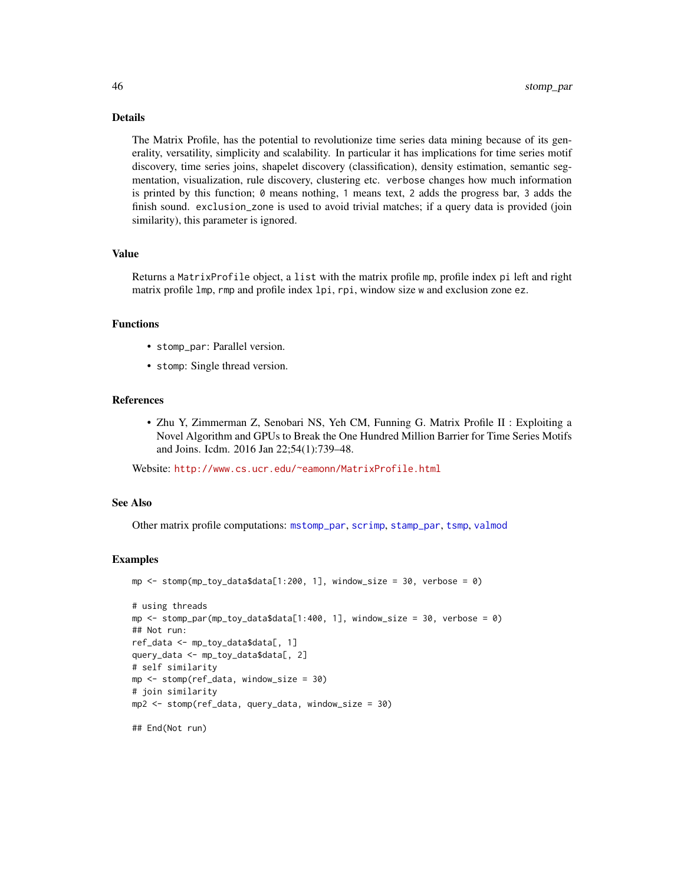# <span id="page-45-0"></span>Details

The Matrix Profile, has the potential to revolutionize time series data mining because of its generality, versatility, simplicity and scalability. In particular it has implications for time series motif discovery, time series joins, shapelet discovery (classification), density estimation, semantic segmentation, visualization, rule discovery, clustering etc. verbose changes how much information is printed by this function; 0 means nothing, 1 means text, 2 adds the progress bar, 3 adds the finish sound. exclusion\_zone is used to avoid trivial matches; if a query data is provided (join similarity), this parameter is ignored.

#### Value

Returns a MatrixProfile object, a list with the matrix profile mp, profile index pi left and right matrix profile lmp, rmp and profile index lpi, rpi, window size w and exclusion zone ez.

#### Functions

- stomp\_par: Parallel version.
- stomp: Single thread version.

#### References

• Zhu Y, Zimmerman Z, Senobari NS, Yeh CM, Funning G. Matrix Profile II : Exploiting a Novel Algorithm and GPUs to Break the One Hundred Million Barrier for Time Series Motifs and Joins. Icdm. 2016 Jan 22;54(1):739–48.

Website: <http://www.cs.ucr.edu/~eamonn/MatrixProfile.html>

# See Also

Other matrix profile computations: [mstomp\\_par](#page-26-1), [scrimp](#page-35-1), [stamp\\_par](#page-42-1), [tsmp](#page-46-1), [valmod](#page-48-1)

```
mp \le stomp(mp_toy_data$data[1:200, 1], window_size = 30, verbose = 0)
# using threads
mp \le - stomp_par(mp_toy_data$data[1:400, 1], window_size = 30, verbose = 0)
## Not run:
ref_data <- mp_toy_data$data[, 1]
query_data <- mp_toy_data$data[, 2]
# self similarity
mp <- stomp(ref_data, window_size = 30)
# join similarity
mp2 <- stomp(ref_data, query_data, window_size = 30)
## End(Not run)
```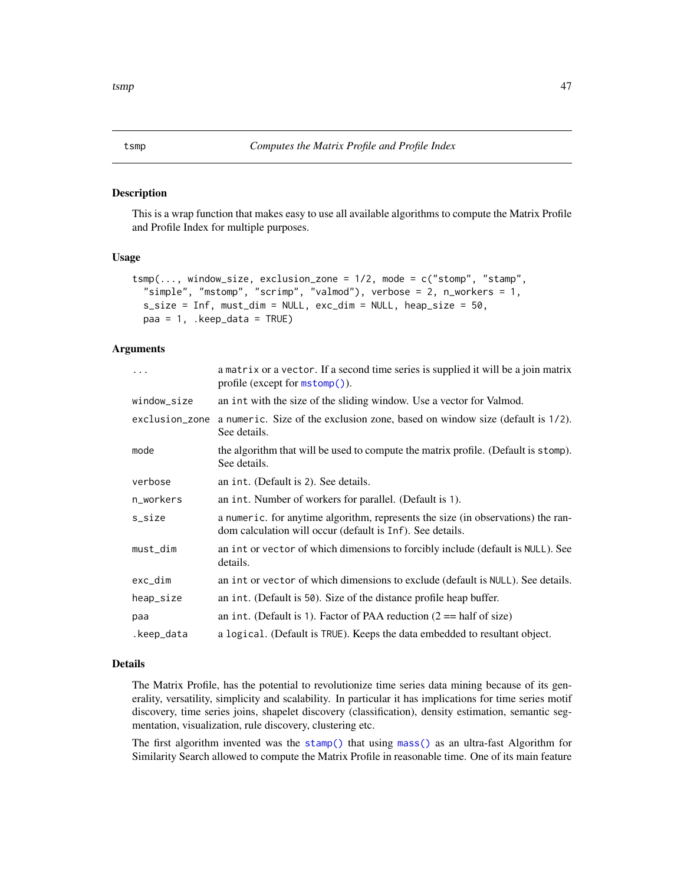<span id="page-46-1"></span><span id="page-46-0"></span>This is a wrap function that makes easy to use all available algorithms to compute the Matrix Profile and Profile Index for multiple purposes.

# Usage

```
tsmp(..., window_size, exclusion_zone = 1/2, mode = c("stomp", "stamp",
  "simple", "mstomp", "scrimp", "valmod"), verbose = 2, n_workers = 1,
  s_size = Inf, must_dim = NULL, exc_dim = NULL, heap_size = 50,
 paa = 1, .keep_data = TRUE)
```
#### **Arguments**

| .              | a matrix or a vector. If a second time series is supplied it will be a join matrix<br>profile (except for $m\text{stomp}()$ ).                |
|----------------|-----------------------------------------------------------------------------------------------------------------------------------------------|
| window_size    | an int with the size of the sliding window. Use a vector for Valmod.                                                                          |
| exclusion_zone | a numeric. Size of the exclusion zone, based on window size (default is 1/2).<br>See details.                                                 |
| mode           | the algorithm that will be used to compute the matrix profile. (Default is stomp).<br>See details.                                            |
| verbose        | an int. (Default is 2). See details.                                                                                                          |
| n_workers      | an int. Number of workers for parallel. (Default is 1).                                                                                       |
| s_size         | a numeric. for anytime algorithm, represents the size (in observations) the ran-<br>dom calculation will occur (default is Inf). See details. |
| must_dim       | an int or vector of which dimensions to forcibly include (default is NULL). See<br>details.                                                   |
| exc_dim        | an int or vector of which dimensions to exclude (default is NULL). See details.                                                               |
| heap_size      | an int. (Default is 50). Size of the distance profile heap buffer.                                                                            |
| paa            | an int. (Default is 1). Factor of PAA reduction $(2 == \text{half of size})$                                                                  |
| .keep_data     | a logical. (Default is TRUE). Keeps the data embedded to resultant object.                                                                    |

# Details

The Matrix Profile, has the potential to revolutionize time series data mining because of its generality, versatility, simplicity and scalability. In particular it has implications for time series motif discovery, time series joins, shapelet discovery (classification), density estimation, semantic segmentation, visualization, rule discovery, clustering etc.

The first algorithm invented was the [stamp\(\)](#page-42-2) that using [mass\(\)](#page-0-0) as an ultra-fast Algorithm for Similarity Search allowed to compute the Matrix Profile in reasonable time. One of its main feature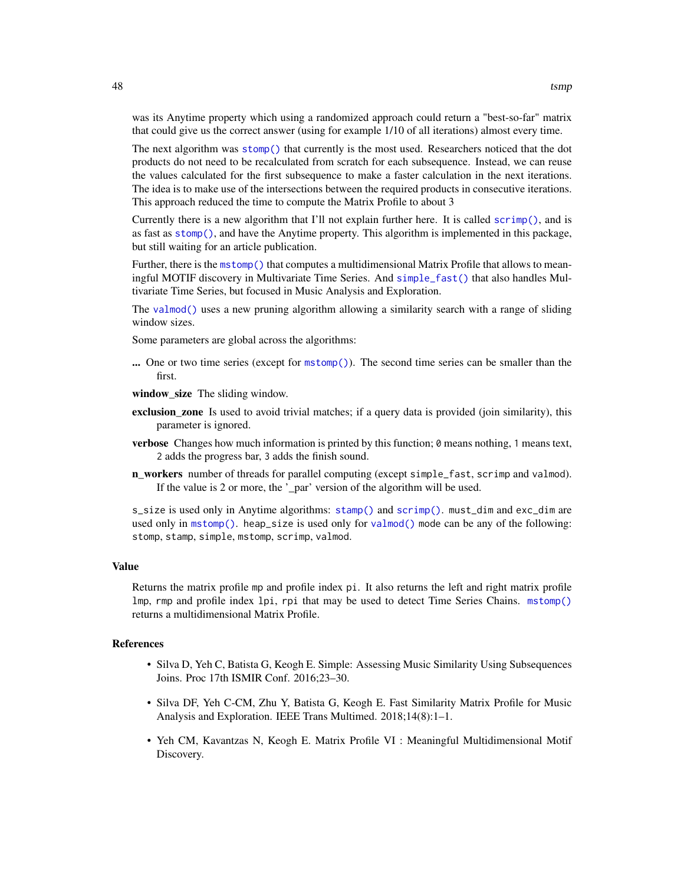<span id="page-47-0"></span>was its Anytime property which using a randomized approach could return a "best-so-far" matrix that could give us the correct answer (using for example 1/10 of all iterations) almost every time.

The next algorithm was [stomp\(\)](#page-44-1) that currently is the most used. Researchers noticed that the dot products do not need to be recalculated from scratch for each subsequence. Instead, we can reuse the values calculated for the first subsequence to make a faster calculation in the next iterations. The idea is to make use of the intersections between the required products in consecutive iterations. This approach reduced the time to compute the Matrix Profile to about 3

Currently there is a new algorithm that I'll not explain further here. It is called [scrimp\(\)](#page-35-1), and is as fast as [stomp\(\)](#page-44-1), and have the Anytime property. This algorithm is implemented in this package, but still waiting for an article publication.

Further, there is the [mstomp\(\)](#page-26-2) that computes a multidimensional Matrix Profile that allows to meaningful MOTIF discovery in Multivariate Time Series. And [simple\\_fast\(\)](#page-41-1) that also handles Multivariate Time Series, but focused in Music Analysis and Exploration.

The [valmod\(\)](#page-48-1) uses a new pruning algorithm allowing a similarity search with a range of sliding window sizes.

Some parameters are global across the algorithms:

... One or two time series (except for [mstomp\(\)](#page-26-2)). The second time series can be smaller than the first.

window\_size The sliding window.

- exclusion\_zone Is used to avoid trivial matches; if a query data is provided (join similarity), this parameter is ignored.
- verbose Changes how much information is printed by this function; 0 means nothing, 1 means text, 2 adds the progress bar, 3 adds the finish sound.
- n\_workers number of threads for parallel computing (except simple\_fast, scrimp and valmod). If the value is 2 or more, the '\_par' version of the algorithm will be used.

s\_size is used only in Anytime algorithms: [stamp\(\)](#page-42-2) and [scrimp\(\)](#page-35-1). must\_dim and exc\_dim are used only in [mstomp\(\)](#page-26-2). heap\_size is used only for [valmod\(\)](#page-48-1) mode can be any of the following: stomp, stamp, simple, mstomp, scrimp, valmod.

#### Value

Returns the matrix profile mp and profile index pi. It also returns the left and right matrix profile lmp, rmp and profile index lpi, rpi that may be used to detect Time Series Chains. [mstomp\(\)](#page-26-2) returns a multidimensional Matrix Profile.

# References

- Silva D, Yeh C, Batista G, Keogh E. Simple: Assessing Music Similarity Using Subsequences Joins. Proc 17th ISMIR Conf. 2016;23–30.
- Silva DF, Yeh C-CM, Zhu Y, Batista G, Keogh E. Fast Similarity Matrix Profile for Music Analysis and Exploration. IEEE Trans Multimed. 2018;14(8):1–1.
- Yeh CM, Kavantzas N, Keogh E. Matrix Profile VI : Meaningful Multidimensional Motif Discovery.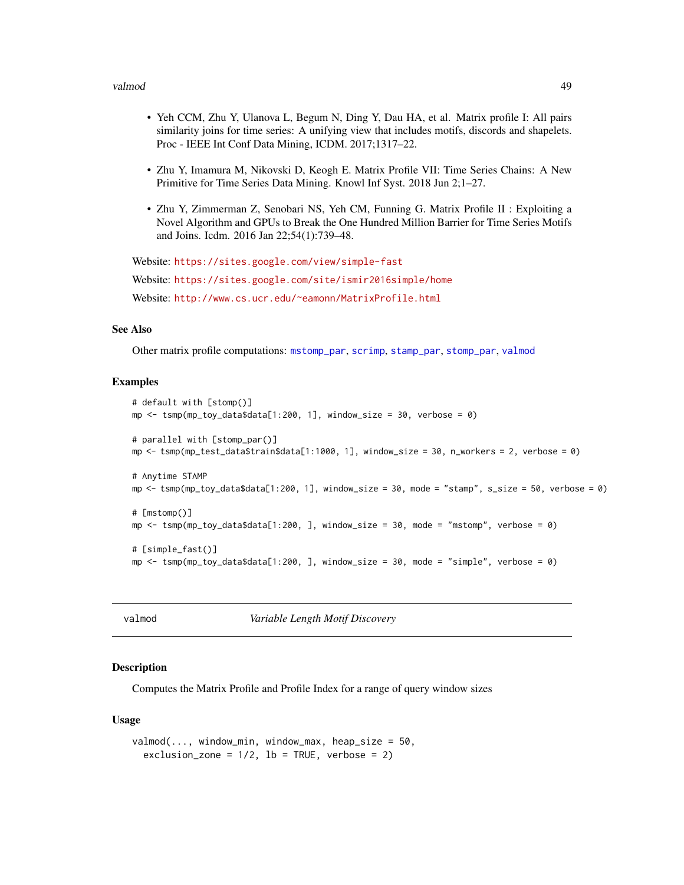#### <span id="page-48-0"></span>valmod to the contract of the contract of the contract of the contract of the contract of the contract of the contract of the contract of the contract of the contract of the contract of the contract of the contract of the

- Yeh CCM, Zhu Y, Ulanova L, Begum N, Ding Y, Dau HA, et al. Matrix profile I: All pairs similarity joins for time series: A unifying view that includes motifs, discords and shapelets. Proc - IEEE Int Conf Data Mining, ICDM. 2017;1317–22.
- Zhu Y, Imamura M, Nikovski D, Keogh E. Matrix Profile VII: Time Series Chains: A New Primitive for Time Series Data Mining. Knowl Inf Syst. 2018 Jun 2;1–27.
- Zhu Y, Zimmerman Z, Senobari NS, Yeh CM, Funning G. Matrix Profile II : Exploiting a Novel Algorithm and GPUs to Break the One Hundred Million Barrier for Time Series Motifs and Joins. Icdm. 2016 Jan 22;54(1):739–48.

```
Website: https://sites.google.com/view/simple-fast
Website: https://sites.google.com/site/ismir2016simple/home
Website: http://www.cs.ucr.edu/~eamonn/MatrixProfile.html
```
#### See Also

Other matrix profile computations: [mstomp\\_par](#page-26-1), [scrimp](#page-35-1), [stamp\\_par](#page-42-1), [stomp\\_par](#page-44-2), [valmod](#page-48-1)

#### Examples

```
# default with [stomp()]
mp \le - tsmp(mp_toy_data$data[1:200, 1], window_size = 30, verbose = 0)
# parallel with [stomp_par()]
mp <- tsmp(mp_test_data$train$data[1:1000, 1], window_size = 30, n_workers = 2, verbose = 0)
# Anytime STAMP
mp \le tsmp(mp_toy_data$data[1:200, 1], window_size = 30, mode = "stamp", s_size = 50, verbose = 0)
# [mstomp()]
mp \le - tsmp(mp_toy_data$data[1:200, ], window_size = 30, mode = "mstomp", verbose = 0)
# [simple_fast()]
mp <- tsmp(mp_toy_data$data[1:200, ], window_size = 30, mode = "simple", verbose = 0)
```
<span id="page-48-1"></span>valmod *Variable Length Motif Discovery*

# Description

Computes the Matrix Profile and Profile Index for a range of query window sizes

#### Usage

```
valmod(..., window\_min, window\_max, heap\_size = 50,exclusion_zone = 1/2, lb = TRUE, verbose = 2)
```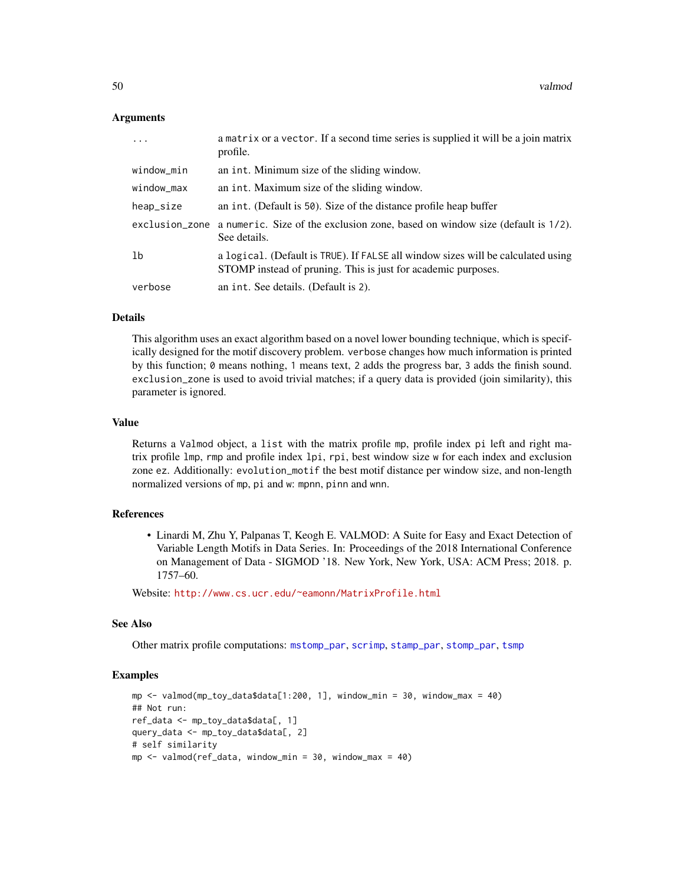# <span id="page-49-0"></span>Arguments

| .          | a matrix or a vector. If a second time series is supplied it will be a join matrix<br>profile.                                                    |
|------------|---------------------------------------------------------------------------------------------------------------------------------------------------|
| window_min | an int. Minimum size of the sliding window.                                                                                                       |
| window_max | an int. Maximum size of the sliding window.                                                                                                       |
| heap_size  | an int. (Default is 50). Size of the distance profile heap buffer                                                                                 |
|            | exclusion_zone a numeric. Size of the exclusion zone, based on window size (default is 1/2).<br>See details.                                      |
| lb         | a logical. (Default is TRUE). If FALSE all window sizes will be calculated using<br>STOMP instead of pruning. This is just for academic purposes. |
| verbose    | an int. See details. (Default is 2).                                                                                                              |

# Details

This algorithm uses an exact algorithm based on a novel lower bounding technique, which is specifically designed for the motif discovery problem. verbose changes how much information is printed by this function; 0 means nothing, 1 means text, 2 adds the progress bar, 3 adds the finish sound. exclusion\_zone is used to avoid trivial matches; if a query data is provided (join similarity), this parameter is ignored.

#### Value

Returns a Valmod object, a list with the matrix profile mp, profile index pi left and right matrix profile lmp, rmp and profile index lpi, rpi, best window size w for each index and exclusion zone ez. Additionally: evolution\_motif the best motif distance per window size, and non-length normalized versions of mp, pi and w: mpnn, pinn and wnn.

#### References

• Linardi M, Zhu Y, Palpanas T, Keogh E. VALMOD: A Suite for Easy and Exact Detection of Variable Length Motifs in Data Series. In: Proceedings of the 2018 International Conference on Management of Data - SIGMOD '18. New York, New York, USA: ACM Press; 2018. p. 1757–60.

Website: <http://www.cs.ucr.edu/~eamonn/MatrixProfile.html>

# See Also

Other matrix profile computations: [mstomp\\_par](#page-26-1), [scrimp](#page-35-1), [stamp\\_par](#page-42-1), [stomp\\_par](#page-44-2), [tsmp](#page-46-1)

```
mp <- valmod(mp_toy_data$data[1:200, 1], window_min = 30, window_max = 40)
## Not run:
ref_data <- mp_toy_data$data[, 1]
query_data <- mp_toy_data$data[, 2]
# self similarity
mp < - valmod(ref_data, window_min = 30, window_max = 40)
```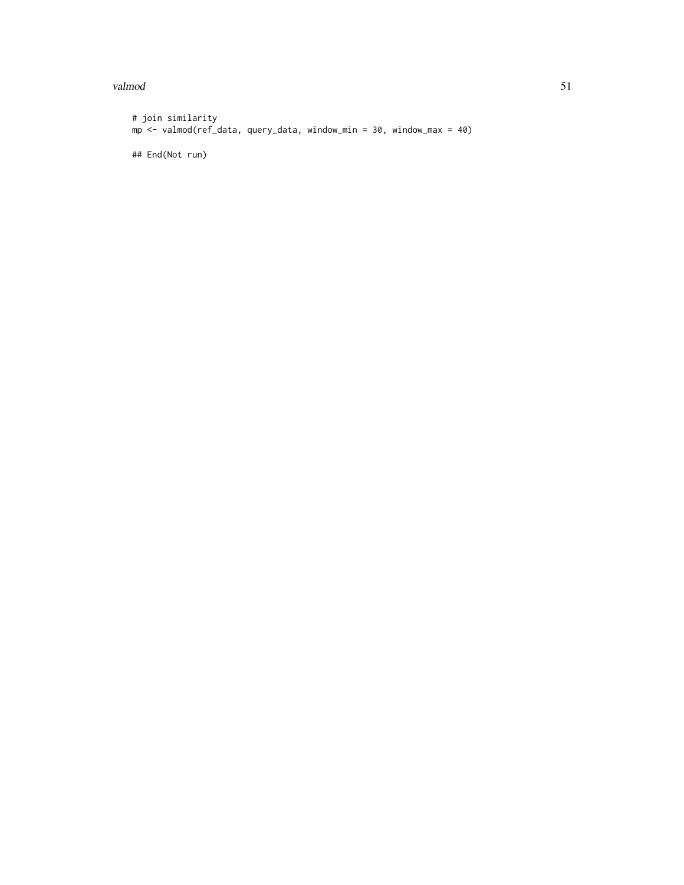#### valmod 51

```
# join similarity
mp <- valmod(ref_data, query_data, window_min = 30, window_max = 40)
## End(Not run)
```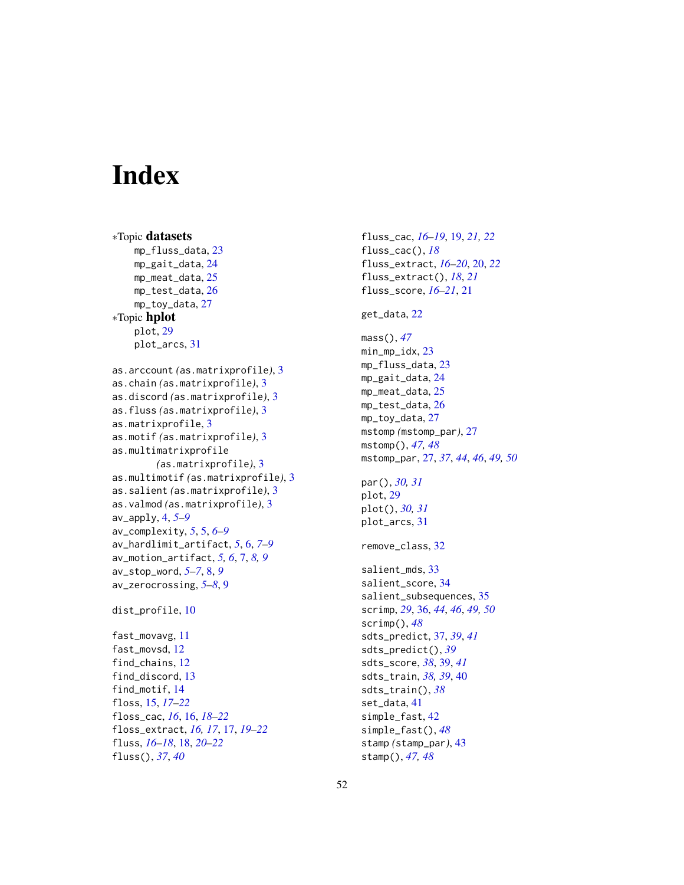# <span id="page-51-0"></span>**Index**

```
∗Topic datasets
    mp_fluss_data, 23
    mp_gait_data, 24
    mp_meat_data, 25
    mp_test_data, 26
    mp_toy_data, 27
∗Topic hplot
    plot, 29
    plot_arcs, 31
as.arccount (as.matrixprofile), 3
as.chain (as.matrixprofile), 3
as.discord (as.matrixprofile), 3
as.fluss (as.matrixprofile), 3
as.matrixprofile, 3
as.motif (as.matrixprofile), 3
as.multimatrixprofile
        (as.matrixprofile), 3
as.multimotif (as.matrixprofile), 3
as.salient (as.matrixprofile), 3
as.valmod (as.matrixprofile), 3
av_apply, 4, 5–9
av_complexity, 5, 5, 6–9
av_hardlimit_artifact, 5, 6, 7–9
av_motion_artifact, 5, 6, 7, 8, 9
av_stop_word, 5–7, 8, 9
av_zerocrossing, 5–8, 9
dist_profile, 10
fast_movavg, 11
fast_movsd, 12
find_chains, 12
find_discord, 13
find_motif, 14
floss, 15, 17–22
floss_cac, 16, 16, 18–22
floss_extract, 16, 17, 17, 19–22
fluss, 16–18, 18, 20–22
fluss(), 37, 40
```

```
fluss_extract, 16–20, 20, 22
fluss_extract(), 18, 21
fluss_score, 16–21, 21
get_data, 22
mass(), 47
min_mp_idx, 23
mp_fluss_data, 23
mp_gait_data, 24
mp_meat_data, 25
mp_test_data, 26
mp_toy_data, 27
mstomp (mstomp_par), 27
mstomp(), 47, 48
mstomp_par, 27, 37, 44, 46, 49, 50
par(), 30, 31
plot, 29
plot(), 30, 31
plot_arcs, 31
remove_class, 32
salient_mds, 33
salient_score, 34
salient_subsequences, 35
scrimp, 29, 36, 44, 46, 49, 50
scrimp(), 48
sdts_predict, 37, 39, 41
sdts_predict(), 39
sdts_score, 38, 39, 41
```
sdts\_train, *[38,](#page-37-0) [39](#page-38-0)*, [40](#page-39-0) sdts\_train(), *[38](#page-37-0)* set\_data, [41](#page-40-0) simple\_fast, [42](#page-41-0) simple\_fast(), *[48](#page-47-0)* stamp *(*stamp\_par*)*, [43](#page-42-0) stamp(), *[47,](#page-46-0) [48](#page-47-0)*

fluss\_cac, *[16](#page-15-0)[–19](#page-18-0)*, [19,](#page-18-0) *[21,](#page-20-0) [22](#page-21-0)*

fluss\_cac(), *[18](#page-17-0)*